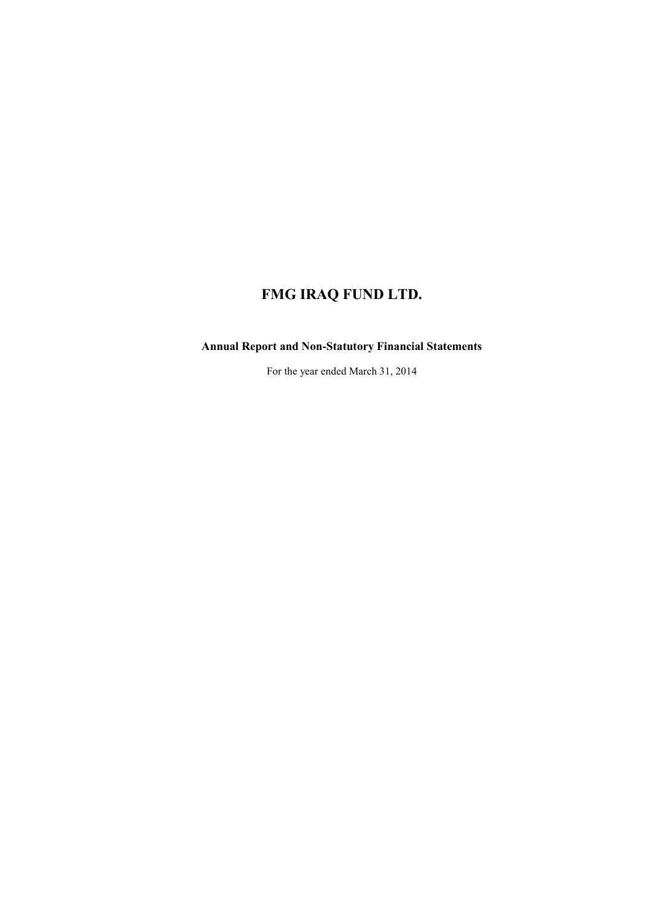# **Annual Report and Non-Statutory Financial Statements**

For the year ended March 31, 2014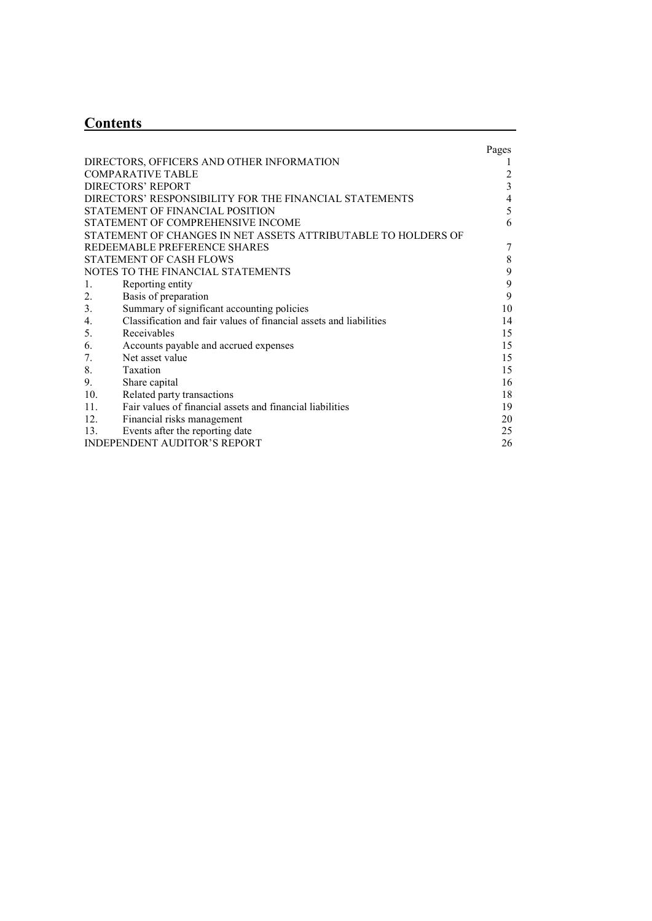# **Contents**

|     |                                                                    | Pages          |
|-----|--------------------------------------------------------------------|----------------|
|     | DIRECTORS, OFFICERS AND OTHER INFORMATION                          |                |
|     | <b>COMPARATIVE TABLE</b>                                           | 2              |
|     | <b>DIRECTORS' REPORT</b>                                           | $\overline{3}$ |
|     | DIRECTORS' RESPONSIBILITY FOR THE FINANCIAL STATEMENTS             | 4              |
|     | STATEMENT OF FINANCIAL POSITION                                    | 5              |
|     | STATEMENT OF COMPREHENSIVE INCOME                                  | 6              |
|     | STATEMENT OF CHANGES IN NET ASSETS ATTRIBUTABLE TO HOLDERS OF      |                |
|     | REDEEMABLE PREFERENCE SHARES                                       | 7              |
|     | <b>STATEMENT OF CASH FLOWS</b>                                     | $\,$ $\,$      |
|     | NOTES TO THE FINANCIAL STATEMENTS                                  | 9              |
| 1.  | Reporting entity                                                   | 9              |
| 2.  | Basis of preparation                                               | 9              |
| 3.  | Summary of significant accounting policies                         | 10             |
| 4.  | Classification and fair values of financial assets and liabilities | 14             |
| 5.  | Receivables                                                        | 15             |
| 6.  | Accounts payable and accrued expenses                              | 15             |
| 7.  | Net asset value                                                    | 15             |
| 8.  | Taxation                                                           | 15             |
| 9.  | Share capital                                                      | 16             |
| 10. | Related party transactions                                         | 18             |
| 11. | Fair values of financial assets and financial liabilities          | 19             |
| 12. | Financial risks management                                         | 20             |
| 13. | Events after the reporting date                                    | 25             |
|     | <b>INDEPENDENT AUDITOR'S REPORT</b>                                | 26             |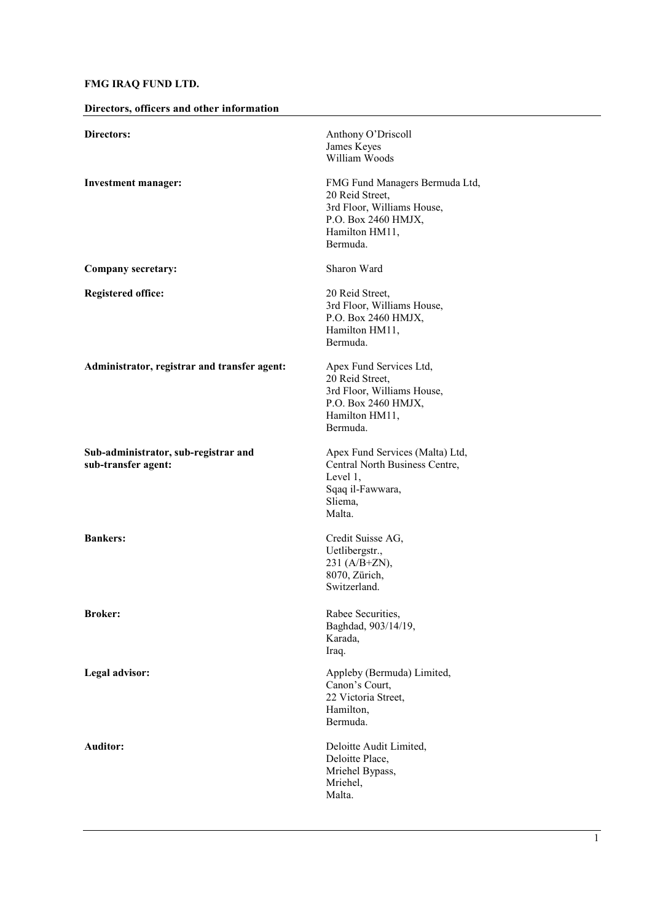# **Directors, officers and other information**

| Directors:                                                  | Anthony O'Driscoll<br>James Keyes<br>William Woods                                                                                   |
|-------------------------------------------------------------|--------------------------------------------------------------------------------------------------------------------------------------|
| <b>Investment manager:</b>                                  | FMG Fund Managers Bermuda Ltd,<br>20 Reid Street,<br>3rd Floor, Williams House,<br>P.O. Box 2460 HMJX,<br>Hamilton HM11,<br>Bermuda. |
| <b>Company secretary:</b>                                   | Sharon Ward                                                                                                                          |
| <b>Registered office:</b>                                   | 20 Reid Street,<br>3rd Floor, Williams House,<br>P.O. Box 2460 HMJX,<br>Hamilton HM11,<br>Bermuda.                                   |
| Administrator, registrar and transfer agent:                | Apex Fund Services Ltd,<br>20 Reid Street,<br>3rd Floor, Williams House,<br>P.O. Box 2460 HMJX,<br>Hamilton HM11,<br>Bermuda.        |
| Sub-administrator, sub-registrar and<br>sub-transfer agent: | Apex Fund Services (Malta) Ltd,<br>Central North Business Centre,<br>Level 1,<br>Sqaq il-Fawwara,<br>Sliema,<br>Malta.               |
| <b>Bankers:</b>                                             | Credit Suisse AG,<br>Uetlibergstr.,<br>$231 (A/B+ZN),$<br>8070, Zürich,<br>Switzerland.                                              |
| <b>Broker:</b>                                              | Rabee Securities.<br>Baghdad, 903/14/19,<br>Karada,<br>Iraq.                                                                         |
| Legal advisor:                                              | Appleby (Bermuda) Limited,<br>Canon's Court,<br>22 Victoria Street,<br>Hamilton,<br>Bermuda.                                         |
| <b>Auditor:</b>                                             | Deloitte Audit Limited,<br>Deloitte Place,<br>Mriehel Bypass,<br>Mriehel,<br>Malta.                                                  |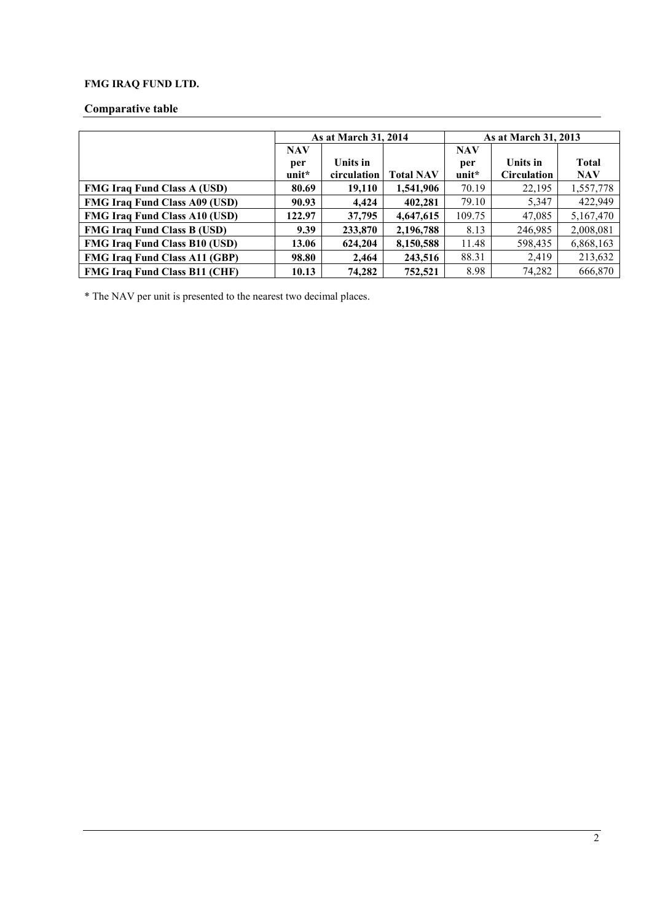# **Comparative table**

|                                      |                          | As at March 31, 2014 |                  | As at March 31, 2013 |                    |              |  |
|--------------------------------------|--------------------------|----------------------|------------------|----------------------|--------------------|--------------|--|
|                                      | <b>NAV</b><br><b>NAV</b> |                      |                  |                      |                    |              |  |
|                                      | per                      | <b>Units in</b>      |                  | per                  | Units in           | <b>Total</b> |  |
|                                      | $unit*$                  | circulation          | <b>Total NAV</b> | $unit*$              | <b>Circulation</b> | <b>NAV</b>   |  |
| <b>FMG Iraq Fund Class A (USD)</b>   | 80.69                    | 19,110               | 1,541,906        | 70.19                | 22,195             | 1,557,778    |  |
| <b>FMG Iraq Fund Class A09 (USD)</b> | 90.93                    | 4.424                | 402,281          | 79.10                | 5,347              | 422,949      |  |
| <b>FMG Iraq Fund Class A10 (USD)</b> | 122.97                   | 37,795               | 4,647,615        | 109.75               | 47,085             | 5,167,470    |  |
| <b>FMG Iraq Fund Class B (USD)</b>   | 9.39                     | 233,870              | 2,196,788        | 8.13                 | 246,985            | 2,008,081    |  |
| <b>FMG Iraq Fund Class B10 (USD)</b> | 13.06                    | 624,204              | 8,150,588        | 11.48                | 598,435            | 6,868,163    |  |
| <b>FMG Iraq Fund Class A11 (GBP)</b> | 98.80                    | 2,464                | 243,516          | 88.31                | 2.419              | 213,632      |  |
| <b>FMG Iraq Fund Class B11 (CHF)</b> | 10.13                    | 74,282               | 752,521          | 8.98                 | 74,282             | 666,870      |  |

\* The NAV per unit is presented to the nearest two decimal places.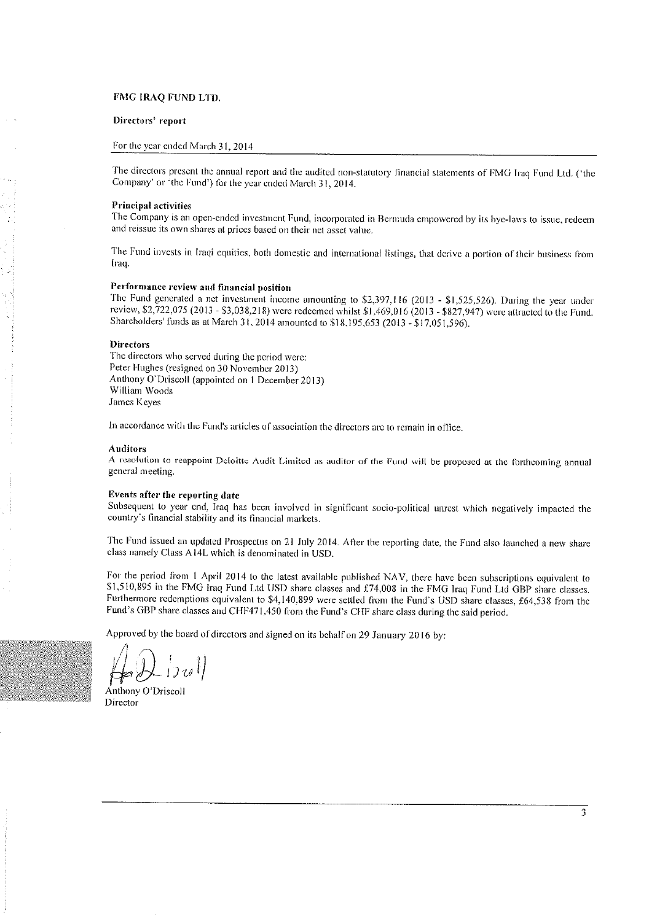#### Directors' report

#### For the year ended March 31, 2014

The directors present the annual report and the audited non-statutory financial statements of FMG Iraq Fund Ltd. ('the Company' or 'the Fund') for the year ended March 31, 2014.

#### **Principal activities**

The Company is an open-ended investment Fund, incorporated in Bermuda empowered by its bye-laws to issue, redeem and reissue its own shares at prices based on their net asset value.

The Fund invests in Iraqi equities, both domestic and international listings, that derive a portion of their business from Iraq.

# Performance review and financial position

The Fund generated a net investment income amounting to \$2,397,116 (2013 - \$1,525,526). During the year under review, \$2,722,075 (2013 - \$3,038,218) were redeemed whilst \$1,469,016 (2013 - \$827,947) were attracted to the Fund. Sharcholders' funds as at March 31, 2014 amounted to \$18,195,653 (2013 - \$17,051,596).

#### **Directors**

The directors who served during the period were: Peter Hughes (resigned on 30 November 2013) Anthony O'Driscoll (appointed on 1 December 2013) William Woods James Keyes

In accordance with the Fund's articles of association the directors are to remain in office.

#### **Auditors**

A resolution to reappoint Deloitte Audit Limited as auditor of the Fund will be proposed at the forthcoming annual general meeting.

#### Events after the reporting date

Subsequent to year end, Iraq has been involved in significant socio-political unrest which negatively impacted the country's financial stability and its financial markets.

The Fund issued an updated Prospectus on 21 July 2014. After the reporting date, the Fund also launched a new share class namely Class A14L which is denominated in USD.

For the period from 1 April 2014 to the latest available published NAV, there have been subscriptions equivalent to \$1,510,895 in the FMG Iraq Fund Ltd USD share classes and £74,008 in the FMG Iraq Fund Ltd GBP share classes. Furthermore redemptions equivalent to \$4,140,899 were settled from the Fund's USD share classes, £64,538 from the Fund's GBP share classes and CHF471,450 from the Fund's CHF share class during the said period.

Approved by the board of directors and signed on its behalf on 29 January 2016 by:

Anthony O'Driscoll Director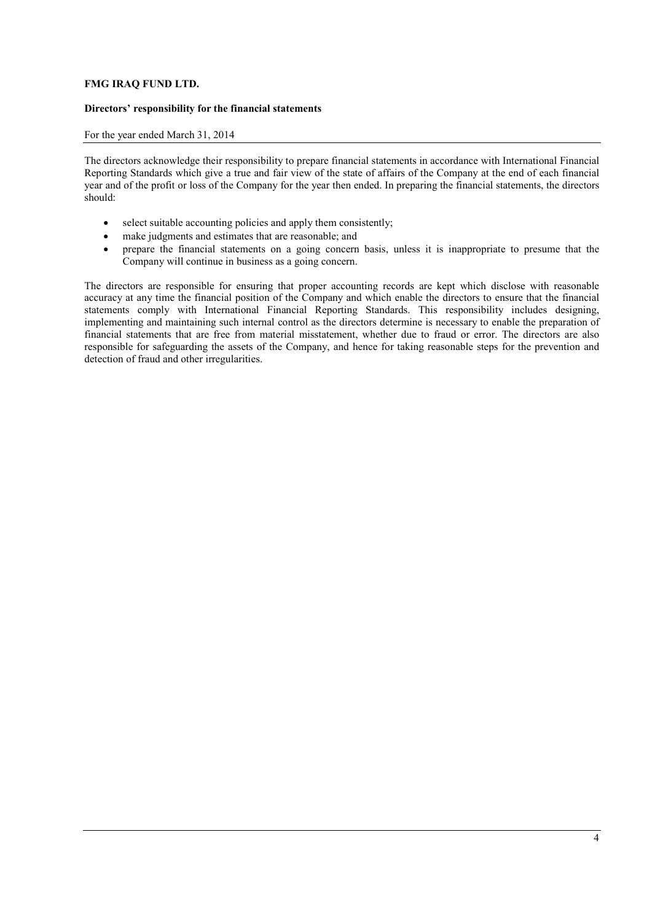# **Directors' responsibility for the financial statements**

For the year ended March 31, 2014

The directors acknowledge their responsibility to prepare financial statements in accordance with International Financial Reporting Standards which give a true and fair view of the state of affairs of the Company at the end of each financial year and of the profit or loss of the Company for the year then ended. In preparing the financial statements, the directors should:

- select suitable accounting policies and apply them consistently;
- make judgments and estimates that are reasonable; and
- prepare the financial statements on a going concern basis, unless it is inappropriate to presume that the Company will continue in business as a going concern.

The directors are responsible for ensuring that proper accounting records are kept which disclose with reasonable accuracy at any time the financial position of the Company and which enable the directors to ensure that the financial statements comply with International Financial Reporting Standards. This responsibility includes designing, implementing and maintaining such internal control as the directors determine is necessary to enable the preparation of financial statements that are free from material misstatement, whether due to fraud or error. The directors are also responsible for safeguarding the assets of the Company, and hence for taking reasonable steps for the prevention and detection of fraud and other irregularities.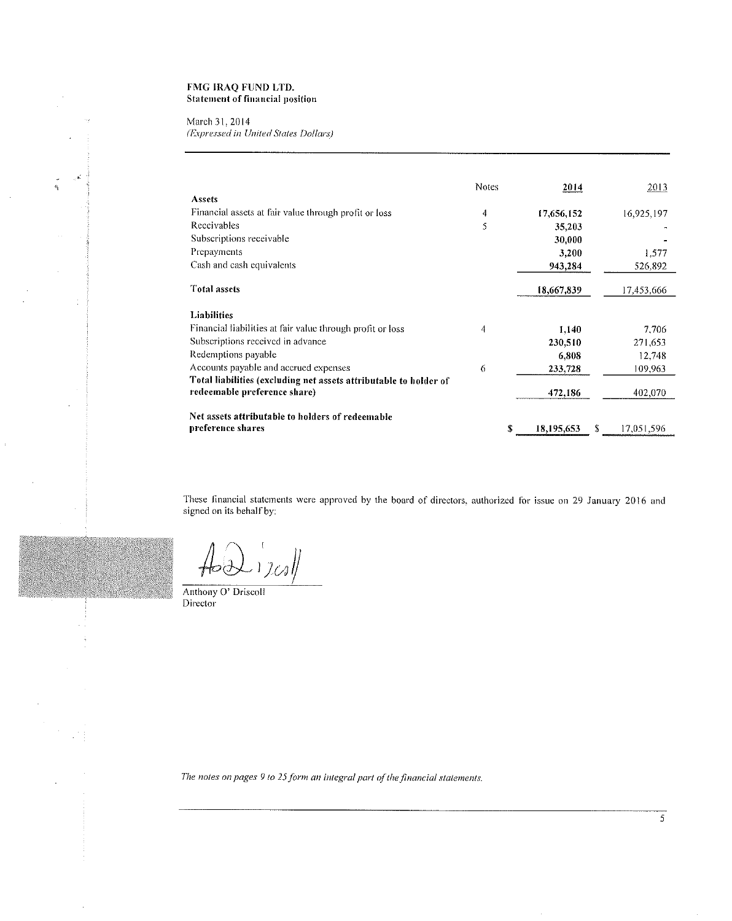# FMG IRAQ FUND LTD. **Statement of financial position**

March 31, 2014 (Expressed in United States Dollars)

 $\frac{1}{2}$ 

|                                                                   | <b>Notes</b> | 2014       |   | 2013       |
|-------------------------------------------------------------------|--------------|------------|---|------------|
| Assets                                                            |              |            |   |            |
| Financial assets at fair value through profit or loss             | 4            | 17,656,152 |   | 16,925,197 |
| Receivables                                                       | 5            | 35,203     |   |            |
| Subscriptions receivable                                          |              | 30,000     |   |            |
| Prepayments                                                       |              | 3,200      |   | 1.577      |
| Cash and cash equivalents                                         |              | 943,284    |   | 526.892    |
| <b>Total assets</b>                                               |              | 18,667,839 |   | 17,453,666 |
| <b>Liabilities</b>                                                |              |            |   |            |
| Financial liabilities at fair value through profit or loss        | 4            | 1,140      |   | 7,706      |
| Subscriptions received in advance                                 |              | 230,510    |   | 271,653    |
| Redemptions payable                                               |              | 6,808      |   | 12,748     |
| Accounts payable and accrued expenses                             | 6            | 233,728    |   | 109,963    |
| Total liabilities (excluding net assets attributable to holder of |              |            |   |            |
| redeemable preference share)                                      |              | 472,186    |   | 402,070    |
| Net assets attributable to holders of redeemable                  |              |            |   |            |
| preference shares                                                 | S            | 18,195,653 | S | 17,051,596 |

These financial statements were approved by the board of directors, authorized for issue on 29 January 2016 and signed on its behalf by:

 $\Box$  )  $\mathcal{I}\mathcal{C}$ s $\big\Vert$  $H_0$ 

Anthony O' Driscoll Director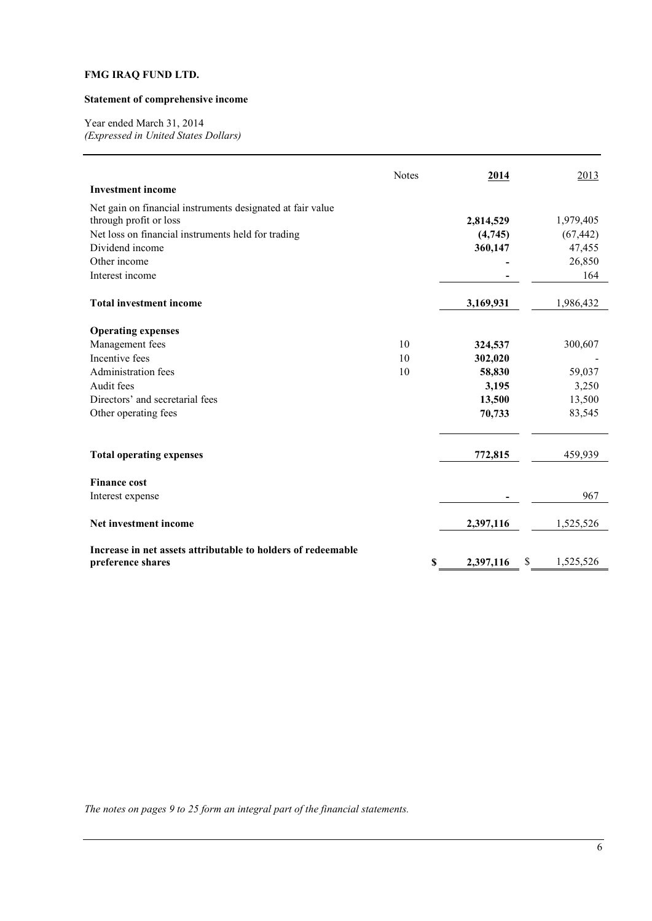# **Statement of comprehensive income**

Year ended March 31, 2014 *(Expressed in United States Dollars)* 

|                                                                                   | <b>Notes</b> | 2014            | 2013            |
|-----------------------------------------------------------------------------------|--------------|-----------------|-----------------|
| <b>Investment income</b>                                                          |              |                 |                 |
| Net gain on financial instruments designated at fair value                        |              |                 |                 |
| through profit or loss                                                            |              | 2,814,529       | 1,979,405       |
| Net loss on financial instruments held for trading                                |              | (4,745)         | (67, 442)       |
| Dividend income                                                                   |              | 360,147         | 47,455          |
| Other income                                                                      |              |                 | 26,850          |
| Interest income                                                                   |              |                 | 164             |
| <b>Total investment income</b>                                                    |              | 3,169,931       | 1,986,432       |
|                                                                                   |              |                 |                 |
| <b>Operating expenses</b>                                                         |              |                 |                 |
| Management fees                                                                   | 10           | 324,537         | 300,607         |
| Incentive fees                                                                    | 10           | 302,020         |                 |
| Administration fees                                                               | 10           | 58,830          | 59,037          |
| Audit fees                                                                        |              | 3,195           | 3,250           |
| Directors' and secretarial fees                                                   |              | 13,500          | 13,500          |
| Other operating fees                                                              |              | 70,733          | 83,545          |
|                                                                                   |              |                 |                 |
| <b>Total operating expenses</b>                                                   |              | 772,815         | 459,939         |
| <b>Finance cost</b>                                                               |              |                 |                 |
| Interest expense                                                                  |              |                 | 967             |
| Net investment income                                                             |              | 2,397,116       | 1,525,526       |
|                                                                                   |              |                 |                 |
| Increase in net assets attributable to holders of redeemable<br>preference shares |              | \$<br>2,397,116 | \$<br>1,525,526 |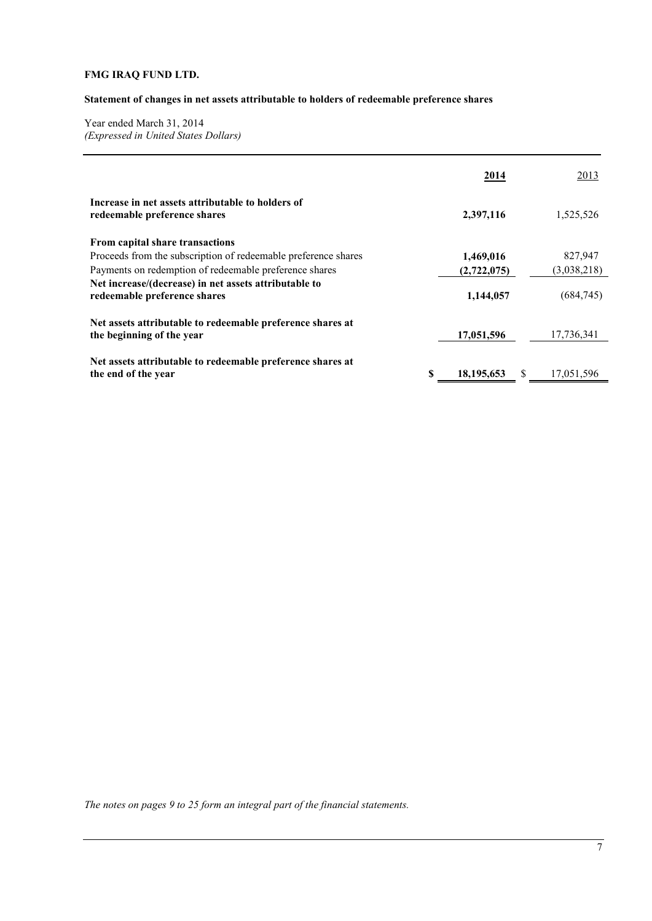# **Statement of changes in net assets attributable to holders of redeemable preference shares**

Year ended March 31, 2014 *(Expressed in United States Dollars)* 

|                                                                                         | 2014        |               | 2013        |
|-----------------------------------------------------------------------------------------|-------------|---------------|-------------|
| Increase in net assets attributable to holders of<br>redeemable preference shares       | 2,397,116   |               | 1,525,526   |
| From capital share transactions                                                         |             |               |             |
| Proceeds from the subscription of redeemable preference shares                          | 1,469,016   |               | 827,947     |
| Payments on redemption of redeemable preference shares                                  | (2,722,075) |               | (3,038,218) |
| Net increase/(decrease) in net assets attributable to<br>redeemable preference shares   | 1,144,057   |               | (684,745)   |
| Net assets attributable to redeemable preference shares at<br>the beginning of the year | 17,051,596  |               | 17,736,341  |
| Net assets attributable to redeemable preference shares at<br>the end of the year       | 18,195,653  | <sup>\$</sup> | 17,051,596  |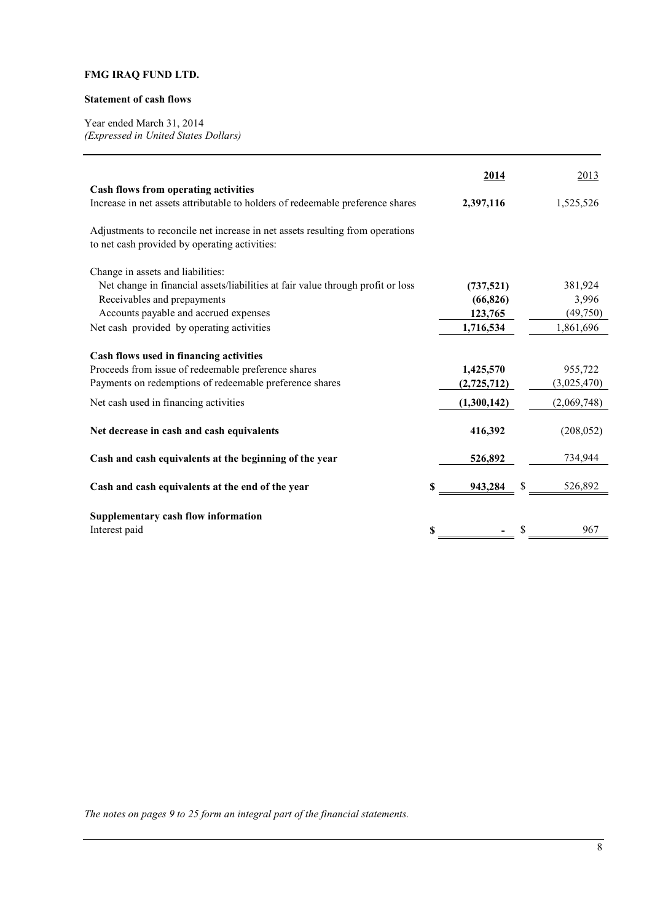# **Statement of cash flows**

Year ended March 31, 2014 *(Expressed in United States Dollars)* 

|                                                                                                                                | 2014          |    | 2013        |
|--------------------------------------------------------------------------------------------------------------------------------|---------------|----|-------------|
| Cash flows from operating activities<br>Increase in net assets attributable to holders of redeemable preference shares         | 2,397,116     |    | 1,525,526   |
| Adjustments to reconcile net increase in net assets resulting from operations<br>to net cash provided by operating activities: |               |    |             |
| Change in assets and liabilities:                                                                                              |               |    |             |
| Net change in financial assets/liabilities at fair value through profit or loss                                                | (737,521)     |    | 381,924     |
| Receivables and prepayments                                                                                                    | (66, 826)     |    | 3,996       |
| Accounts payable and accrued expenses                                                                                          | 123,765       |    | (49,750)    |
| Net cash provided by operating activities                                                                                      | 1,716,534     |    | 1,861,696   |
| Cash flows used in financing activities                                                                                        |               |    |             |
| Proceeds from issue of redeemable preference shares                                                                            | 1,425,570     |    | 955,722     |
| Payments on redemptions of redeemable preference shares                                                                        | (2,725,712)   |    | (3,025,470) |
| Net cash used in financing activities                                                                                          | (1,300,142)   |    | (2,069,748) |
| Net decrease in cash and cash equivalents                                                                                      | 416,392       |    | (208, 052)  |
| Cash and cash equivalents at the beginning of the year                                                                         | 526,892       |    | 734,944     |
| Cash and cash equivalents at the end of the year                                                                               | \$<br>943,284 |    | 526,892     |
| Supplementary cash flow information                                                                                            |               |    |             |
| Interest paid                                                                                                                  | \$            | \$ | 967         |
|                                                                                                                                |               |    |             |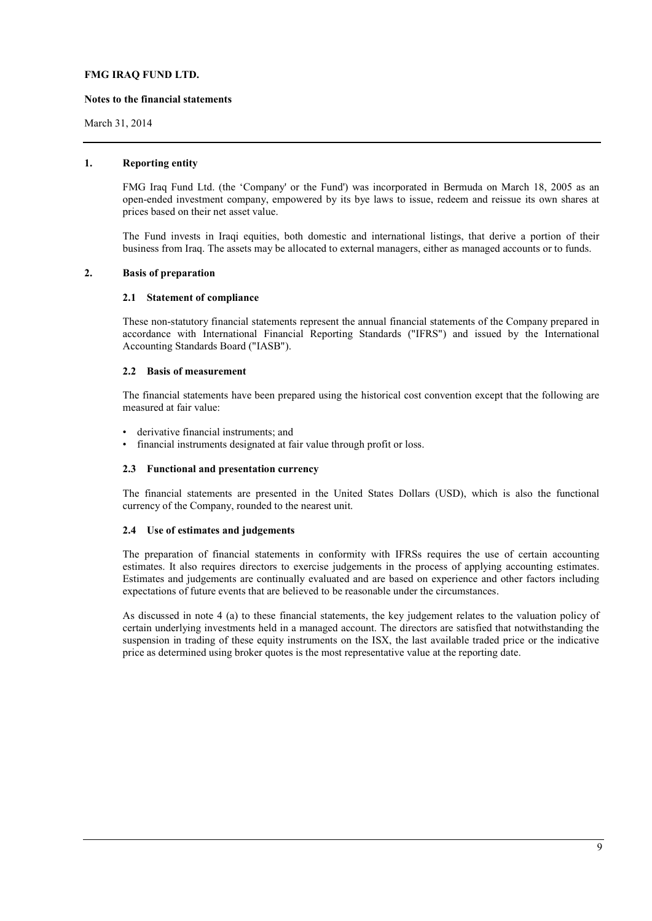#### **Notes to the financial statements**

March 31, 2014

# **1. Reporting entity**

FMG Iraq Fund Ltd. (the 'Company' or the Fund') was incorporated in Bermuda on March 18, 2005 as an open-ended investment company, empowered by its bye laws to issue, redeem and reissue its own shares at prices based on their net asset value.

The Fund invests in Iraqi equities, both domestic and international listings, that derive a portion of their business from Iraq. The assets may be allocated to external managers, either as managed accounts or to funds.

# **2. Basis of preparation**

# **2.1 Statement of compliance**

These non-statutory financial statements represent the annual financial statements of the Company prepared in accordance with International Financial Reporting Standards ("IFRS") and issued by the International Accounting Standards Board ("IASB").

# **2.2 Basis of measurement**

The financial statements have been prepared using the historical cost convention except that the following are measured at fair value:

- derivative financial instruments; and
- financial instruments designated at fair value through profit or loss.

#### **2.3 Functional and presentation currency**

The financial statements are presented in the United States Dollars (USD), which is also the functional currency of the Company, rounded to the nearest unit.

# **2.4 Use of estimates and judgements**

The preparation of financial statements in conformity with IFRSs requires the use of certain accounting estimates. It also requires directors to exercise judgements in the process of applying accounting estimates. Estimates and judgements are continually evaluated and are based on experience and other factors including expectations of future events that are believed to be reasonable under the circumstances.

As discussed in note 4 (a) to these financial statements, the key judgement relates to the valuation policy of certain underlying investments held in a managed account. The directors are satisfied that notwithstanding the suspension in trading of these equity instruments on the ISX, the last available traded price or the indicative price as determined using broker quotes is the most representative value at the reporting date.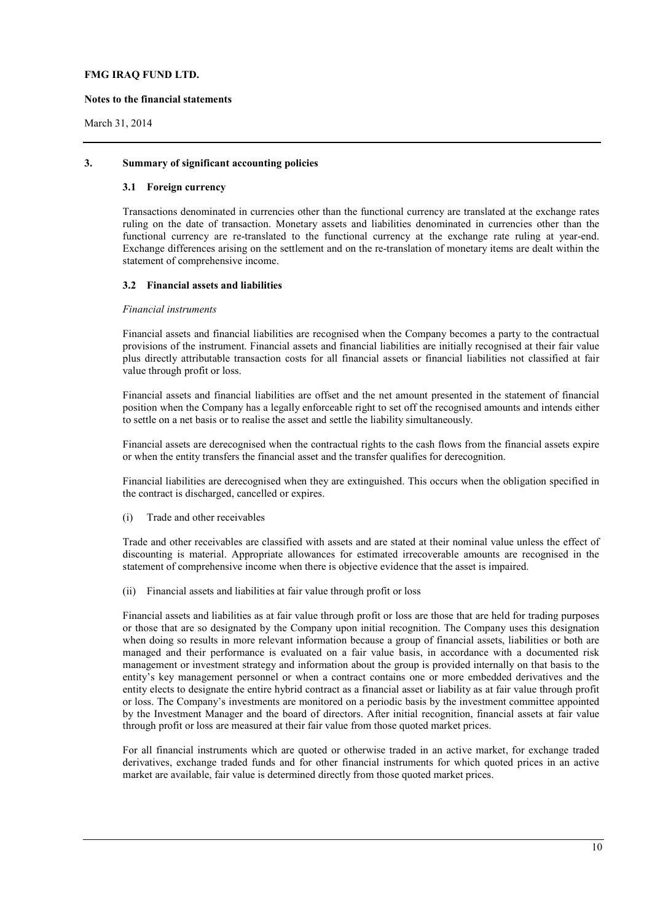#### **Notes to the financial statements**

March 31, 2014

#### **3. Summary of significant accounting policies**

#### **3.1 Foreign currency**

Transactions denominated in currencies other than the functional currency are translated at the exchange rates ruling on the date of transaction. Monetary assets and liabilities denominated in currencies other than the functional currency are re-translated to the functional currency at the exchange rate ruling at year-end. Exchange differences arising on the settlement and on the re-translation of monetary items are dealt within the statement of comprehensive income.

# **3.2 Financial assets and liabilities**

#### *Financial instruments*

Financial assets and financial liabilities are recognised when the Company becomes a party to the contractual provisions of the instrument. Financial assets and financial liabilities are initially recognised at their fair value plus directly attributable transaction costs for all financial assets or financial liabilities not classified at fair value through profit or loss.

Financial assets and financial liabilities are offset and the net amount presented in the statement of financial position when the Company has a legally enforceable right to set off the recognised amounts and intends either to settle on a net basis or to realise the asset and settle the liability simultaneously.

Financial assets are derecognised when the contractual rights to the cash flows from the financial assets expire or when the entity transfers the financial asset and the transfer qualifies for derecognition.

Financial liabilities are derecognised when they are extinguished. This occurs when the obligation specified in the contract is discharged, cancelled or expires.

(i) Trade and other receivables

Trade and other receivables are classified with assets and are stated at their nominal value unless the effect of discounting is material. Appropriate allowances for estimated irrecoverable amounts are recognised in the statement of comprehensive income when there is objective evidence that the asset is impaired.

(ii) Financial assets and liabilities at fair value through profit or loss

Financial assets and liabilities as at fair value through profit or loss are those that are held for trading purposes or those that are so designated by the Company upon initial recognition. The Company uses this designation when doing so results in more relevant information because a group of financial assets, liabilities or both are managed and their performance is evaluated on a fair value basis, in accordance with a documented risk management or investment strategy and information about the group is provided internally on that basis to the entity's key management personnel or when a contract contains one or more embedded derivatives and the entity elects to designate the entire hybrid contract as a financial asset or liability as at fair value through profit or loss. The Company's investments are monitored on a periodic basis by the investment committee appointed by the Investment Manager and the board of directors. After initial recognition, financial assets at fair value through profit or loss are measured at their fair value from those quoted market prices.

For all financial instruments which are quoted or otherwise traded in an active market, for exchange traded derivatives, exchange traded funds and for other financial instruments for which quoted prices in an active market are available, fair value is determined directly from those quoted market prices.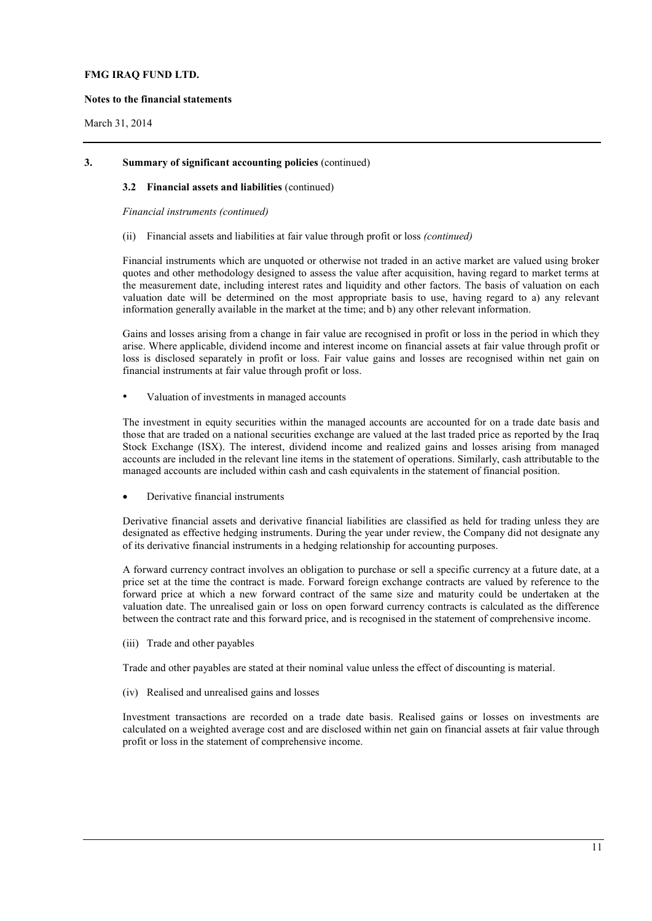#### **Notes to the financial statements**

March 31, 2014

#### **3. Summary of significant accounting policies** (continued)

# **3.2 Financial assets and liabilities** (continued)

*Financial instruments (continued)* 

(ii) Financial assets and liabilities at fair value through profit or loss *(continued)*

Financial instruments which are unquoted or otherwise not traded in an active market are valued using broker quotes and other methodology designed to assess the value after acquisition, having regard to market terms at the measurement date, including interest rates and liquidity and other factors. The basis of valuation on each valuation date will be determined on the most appropriate basis to use, having regard to a) any relevant information generally available in the market at the time; and b) any other relevant information.

Gains and losses arising from a change in fair value are recognised in profit or loss in the period in which they arise. Where applicable, dividend income and interest income on financial assets at fair value through profit or loss is disclosed separately in profit or loss. Fair value gains and losses are recognised within net gain on financial instruments at fair value through profit or loss.

• Valuation of investments in managed accounts

The investment in equity securities within the managed accounts are accounted for on a trade date basis and those that are traded on a national securities exchange are valued at the last traded price as reported by the Iraq Stock Exchange (ISX). The interest, dividend income and realized gains and losses arising from managed accounts are included in the relevant line items in the statement of operations. Similarly, cash attributable to the managed accounts are included within cash and cash equivalents in the statement of financial position.

• Derivative financial instruments

Derivative financial assets and derivative financial liabilities are classified as held for trading unless they are designated as effective hedging instruments. During the year under review, the Company did not designate any of its derivative financial instruments in a hedging relationship for accounting purposes.

A forward currency contract involves an obligation to purchase or sell a specific currency at a future date, at a price set at the time the contract is made. Forward foreign exchange contracts are valued by reference to the forward price at which a new forward contract of the same size and maturity could be undertaken at the valuation date. The unrealised gain or loss on open forward currency contracts is calculated as the difference between the contract rate and this forward price, and is recognised in the statement of comprehensive income.

(iii) Trade and other payables

Trade and other payables are stated at their nominal value unless the effect of discounting is material.

(iv) Realised and unrealised gains and losses

Investment transactions are recorded on a trade date basis. Realised gains or losses on investments are calculated on a weighted average cost and are disclosed within net gain on financial assets at fair value through profit or loss in the statement of comprehensive income.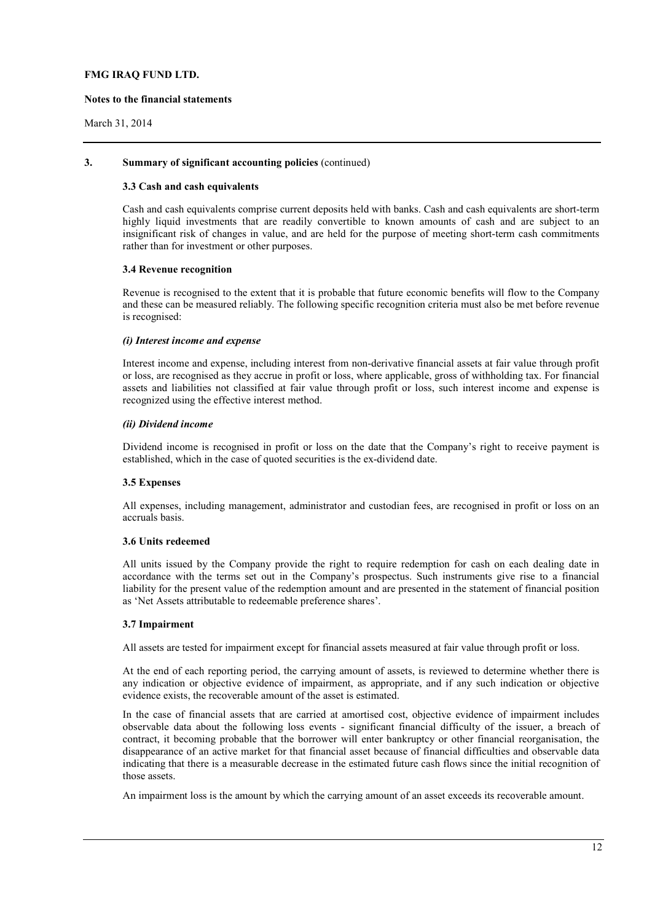#### **Notes to the financial statements**

# March 31, 2014

#### **3. Summary of significant accounting policies** (continued)

#### **3.3 Cash and cash equivalents**

Cash and cash equivalents comprise current deposits held with banks. Cash and cash equivalents are short-term highly liquid investments that are readily convertible to known amounts of cash and are subject to an insignificant risk of changes in value, and are held for the purpose of meeting short-term cash commitments rather than for investment or other purposes.

# **3.4 Revenue recognition**

Revenue is recognised to the extent that it is probable that future economic benefits will flow to the Company and these can be measured reliably. The following specific recognition criteria must also be met before revenue is recognised:

# *(i) Interest income and expense*

Interest income and expense, including interest from non-derivative financial assets at fair value through profit or loss, are recognised as they accrue in profit or loss, where applicable, gross of withholding tax. For financial assets and liabilities not classified at fair value through profit or loss, such interest income and expense is recognized using the effective interest method.

# *(ii) Dividend income*

Dividend income is recognised in profit or loss on the date that the Company's right to receive payment is established, which in the case of quoted securities is the ex-dividend date.

# **3.5 Expenses**

All expenses, including management, administrator and custodian fees, are recognised in profit or loss on an accruals basis.

#### **3.6 Units redeemed**

All units issued by the Company provide the right to require redemption for cash on each dealing date in accordance with the terms set out in the Company's prospectus. Such instruments give rise to a financial liability for the present value of the redemption amount and are presented in the statement of financial position as 'Net Assets attributable to redeemable preference shares'.

#### **3.7 Impairment**

All assets are tested for impairment except for financial assets measured at fair value through profit or loss.

At the end of each reporting period, the carrying amount of assets, is reviewed to determine whether there is any indication or objective evidence of impairment, as appropriate, and if any such indication or objective evidence exists, the recoverable amount of the asset is estimated.

In the case of financial assets that are carried at amortised cost, objective evidence of impairment includes observable data about the following loss events - significant financial difficulty of the issuer, a breach of contract, it becoming probable that the borrower will enter bankruptcy or other financial reorganisation, the disappearance of an active market for that financial asset because of financial difficulties and observable data indicating that there is a measurable decrease in the estimated future cash flows since the initial recognition of those assets.

An impairment loss is the amount by which the carrying amount of an asset exceeds its recoverable amount.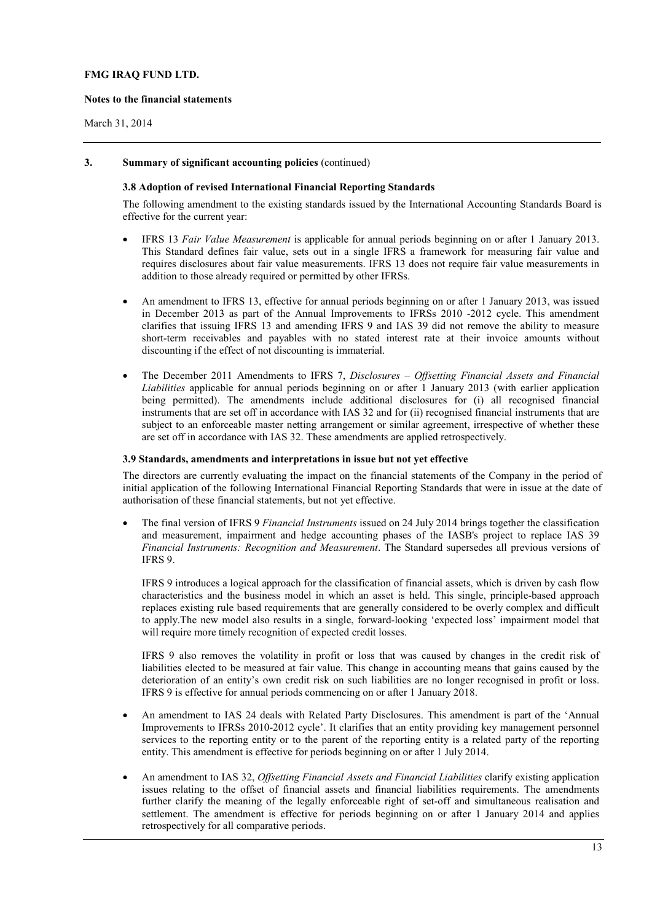#### **Notes to the financial statements**

March 31, 2014

# **3. Summary of significant accounting policies** (continued)

# **3.8 Adoption of revised International Financial Reporting Standards**

The following amendment to the existing standards issued by the International Accounting Standards Board is effective for the current year:

- IFRS 13 *Fair Value Measurement* is applicable for annual periods beginning on or after 1 January 2013. This Standard defines fair value, sets out in a single IFRS a framework for measuring fair value and requires disclosures about fair value measurements. IFRS 13 does not require fair value measurements in addition to those already required or permitted by other IFRSs.
- An amendment to IFRS 13, effective for annual periods beginning on or after 1 January 2013, was issued in December 2013 as part of the Annual Improvements to IFRSs 2010 -2012 cycle. This amendment clarifies that issuing IFRS 13 and amending IFRS 9 and IAS 39 did not remove the ability to measure short-term receivables and payables with no stated interest rate at their invoice amounts without discounting if the effect of not discounting is immaterial.
- The December 2011 Amendments to IFRS 7, *Disclosures Offsetting Financial Assets and Financial Liabilities* applicable for annual periods beginning on or after 1 January 2013 (with earlier application being permitted). The amendments include additional disclosures for (i) all recognised financial instruments that are set off in accordance with IAS 32 and for (ii) recognised financial instruments that are subject to an enforceable master netting arrangement or similar agreement, irrespective of whether these are set off in accordance with IAS 32. These amendments are applied retrospectively.

#### **3.9 Standards, amendments and interpretations in issue but not yet effective**

The directors are currently evaluating the impact on the financial statements of the Company in the period of initial application of the following International Financial Reporting Standards that were in issue at the date of authorisation of these financial statements, but not yet effective.

• The final version of IFRS 9 *Financial Instruments* issued on 24 July 2014 brings together the classification and measurement, impairment and hedge accounting phases of the IASB's project to replace IAS 39 *Financial Instruments: Recognition and Measurement*. The Standard supersedes all previous versions of IFRS 9.

IFRS 9 introduces a logical approach for the classification of financial assets, which is driven by cash flow characteristics and the business model in which an asset is held. This single, principle-based approach replaces existing rule based requirements that are generally considered to be overly complex and difficult to apply.The new model also results in a single, forward-looking 'expected loss' impairment model that will require more timely recognition of expected credit losses.

IFRS 9 also removes the volatility in profit or loss that was caused by changes in the credit risk of liabilities elected to be measured at fair value. This change in accounting means that gains caused by the deterioration of an entity's own credit risk on such liabilities are no longer recognised in profit or loss. IFRS 9 is effective for annual periods commencing on or after 1 January 2018.

- An amendment to IAS 24 deals with Related Party Disclosures. This amendment is part of the 'Annual Improvements to IFRSs 2010-2012 cycle'. It clarifies that an entity providing key management personnel services to the reporting entity or to the parent of the reporting entity is a related party of the reporting entity. This amendment is effective for periods beginning on or after 1 July 2014.
- An amendment to IAS 32, *Offsetting Financial Assets and Financial Liabilities* clarify existing application issues relating to the offset of financial assets and financial liabilities requirements. The amendments further clarify the meaning of the legally enforceable right of set-off and simultaneous realisation and settlement. The amendment is effective for periods beginning on or after 1 January 2014 and applies retrospectively for all comparative periods.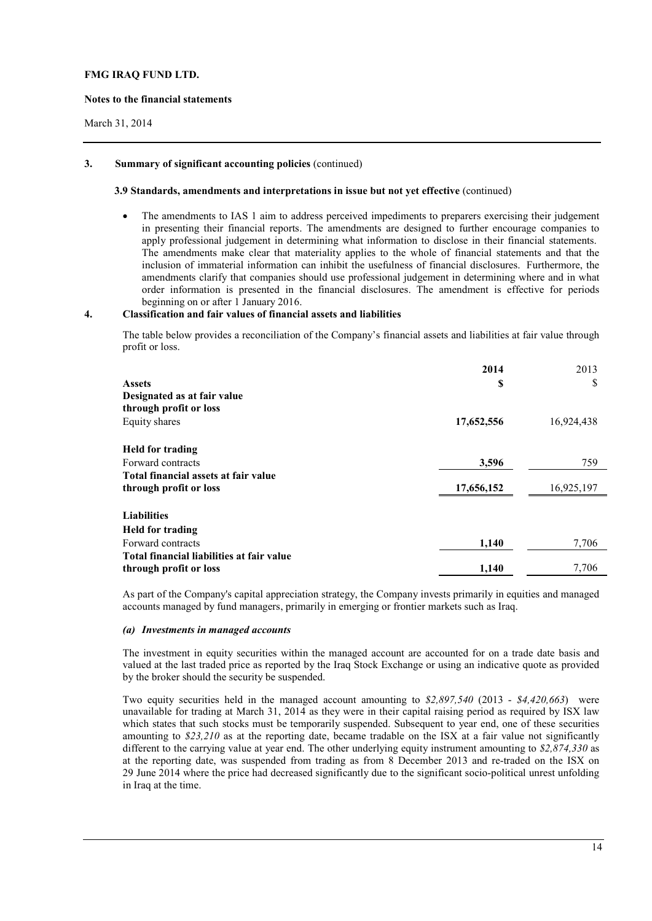#### **Notes to the financial statements**

March 31, 2014

# **3. Summary of significant accounting policies** (continued)

#### **3.9 Standards, amendments and interpretations in issue but not yet effective** (continued)

• The amendments to IAS 1 aim to address perceived impediments to preparers exercising their judgement in presenting their financial reports. The amendments are designed to further encourage companies to apply professional judgement in determining what information to disclose in their financial statements. The amendments make clear that materiality applies to the whole of financial statements and that the inclusion of immaterial information can inhibit the usefulness of financial disclosures. Furthermore, the amendments clarify that companies should use professional judgement in determining where and in what order information is presented in the financial disclosures. The amendment is effective for periods beginning on or after 1 January 2016.

# **4. Classification and fair values of financial assets and liabilities**

The table below provides a reconciliation of the Company's financial assets and liabilities at fair value through profit or loss.

|                                           | 2014       | 2013       |
|-------------------------------------------|------------|------------|
| <b>Assets</b>                             | \$         | \$         |
| Designated as at fair value               |            |            |
| through profit or loss                    |            |            |
| Equity shares                             | 17,652,556 | 16,924,438 |
| <b>Held for trading</b>                   |            |            |
| Forward contracts                         | 3.596      | 759        |
| Total financial assets at fair value      |            |            |
| through profit or loss                    | 17,656,152 | 16,925,197 |
| <b>Liabilities</b>                        |            |            |
| <b>Held for trading</b>                   |            |            |
| Forward contracts                         | 1,140      | 7,706      |
| Total financial liabilities at fair value |            |            |
| through profit or loss                    | 1,140      | 7,706      |

As part of the Company's capital appreciation strategy, the Company invests primarily in equities and managed accounts managed by fund managers, primarily in emerging or frontier markets such as Iraq.

# *(a) Investments in managed accounts*

The investment in equity securities within the managed account are accounted for on a trade date basis and valued at the last traded price as reported by the Iraq Stock Exchange or using an indicative quote as provided by the broker should the security be suspended.

Two equity securities held in the managed account amounting to *\$2,897,540* (2013 - *\$4,420,663*) were unavailable for trading at March 31, 2014 as they were in their capital raising period as required by ISX law which states that such stocks must be temporarily suspended. Subsequent to year end, one of these securities amounting to *\$23,210* as at the reporting date, became tradable on the ISX at a fair value not significantly different to the carrying value at year end. The other underlying equity instrument amounting to *\$2,874,330* as at the reporting date, was suspended from trading as from 8 December 2013 and re-traded on the ISX on 29 June 2014 where the price had decreased significantly due to the significant socio-political unrest unfolding in Iraq at the time.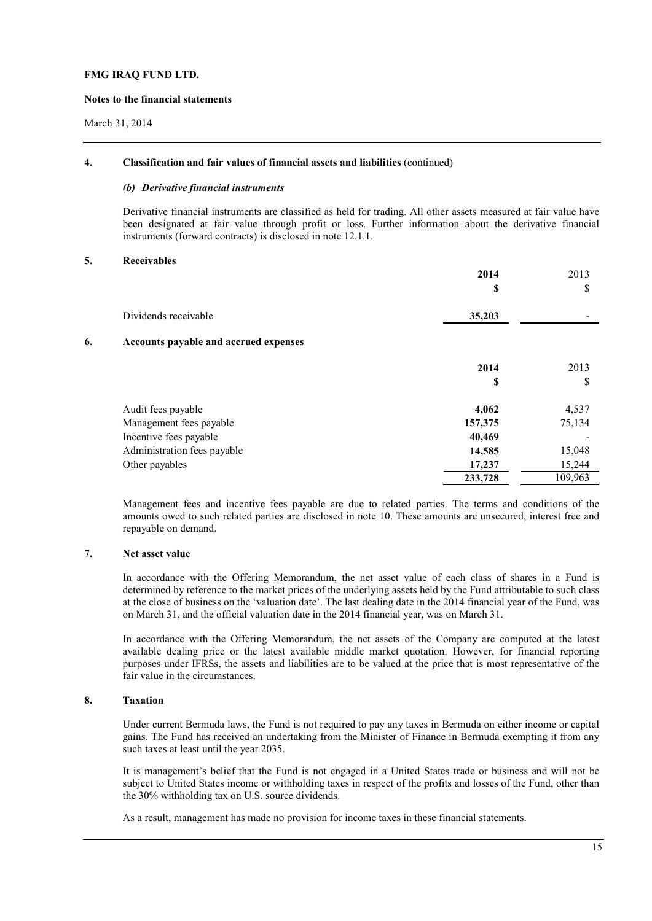#### **Notes to the financial statements**

#### March 31, 2014

#### **4. Classification and fair values of financial assets and liabilities** (continued)

# *(b) Derivative financial instruments*

Derivative financial instruments are classified as held for trading. All other assets measured at fair value have been designated at fair value through profit or loss. Further information about the derivative financial instruments (forward contracts) is disclosed in note 12.1.1.

# **5. Receivables**

|    |                                       | 2014    | 2013    |
|----|---------------------------------------|---------|---------|
|    |                                       | S       | \$      |
|    | Dividends receivable                  | 35,203  |         |
| 6. | Accounts payable and accrued expenses |         |         |
|    |                                       | 2014    | 2013    |
|    |                                       | S       | \$      |
|    | Audit fees payable                    | 4,062   | 4,537   |
|    | Management fees payable               | 157,375 | 75,134  |
|    | Incentive fees payable                | 40,469  |         |
|    | Administration fees payable           | 14,585  | 15,048  |
|    | Other payables                        | 17,237  | 15,244  |
|    |                                       | 233,728 | 109,963 |

Management fees and incentive fees payable are due to related parties. The terms and conditions of the amounts owed to such related parties are disclosed in note 10. These amounts are unsecured, interest free and repayable on demand.

#### **7. Net asset value**

In accordance with the Offering Memorandum, the net asset value of each class of shares in a Fund is determined by reference to the market prices of the underlying assets held by the Fund attributable to such class at the close of business on the 'valuation date'. The last dealing date in the 2014 financial year of the Fund, was on March 31, and the official valuation date in the 2014 financial year, was on March 31.

In accordance with the Offering Memorandum, the net assets of the Company are computed at the latest available dealing price or the latest available middle market quotation. However, for financial reporting purposes under IFRSs, the assets and liabilities are to be valued at the price that is most representative of the fair value in the circumstances.

# **8. Taxation**

Under current Bermuda laws, the Fund is not required to pay any taxes in Bermuda on either income or capital gains. The Fund has received an undertaking from the Minister of Finance in Bermuda exempting it from any such taxes at least until the year 2035.

It is management's belief that the Fund is not engaged in a United States trade or business and will not be subject to United States income or withholding taxes in respect of the profits and losses of the Fund, other than the 30% withholding tax on U.S. source dividends.

As a result, management has made no provision for income taxes in these financial statements.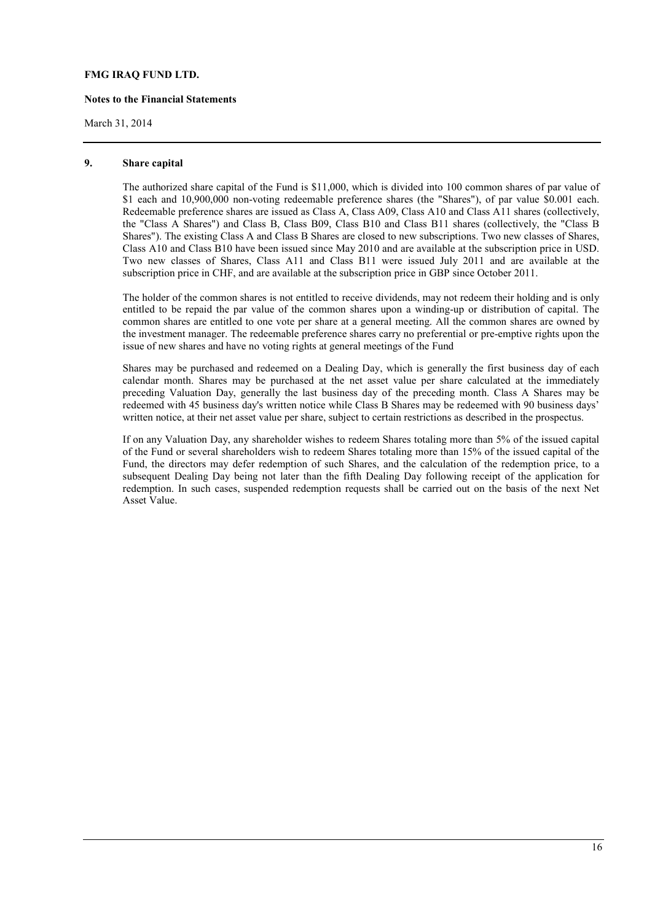#### **Notes to the Financial Statements**

# March 31, 2014

#### **9. Share capital**

The authorized share capital of the Fund is \$11,000, which is divided into 100 common shares of par value of \$1 each and 10,900,000 non-voting redeemable preference shares (the "Shares"), of par value \$0.001 each. Redeemable preference shares are issued as Class A, Class A09, Class A10 and Class A11 shares (collectively, the "Class A Shares") and Class B, Class B09, Class B10 and Class B11 shares (collectively, the "Class B Shares"). The existing Class A and Class B Shares are closed to new subscriptions. Two new classes of Shares, Class A10 and Class B10 have been issued since May 2010 and are available at the subscription price in USD. Two new classes of Shares, Class A11 and Class B11 were issued July 2011 and are available at the subscription price in CHF, and are available at the subscription price in GBP since October 2011.

The holder of the common shares is not entitled to receive dividends, may not redeem their holding and is only entitled to be repaid the par value of the common shares upon a winding-up or distribution of capital. The common shares are entitled to one vote per share at a general meeting. All the common shares are owned by the investment manager. The redeemable preference shares carry no preferential or pre-emptive rights upon the issue of new shares and have no voting rights at general meetings of the Fund

Shares may be purchased and redeemed on a Dealing Day, which is generally the first business day of each calendar month. Shares may be purchased at the net asset value per share calculated at the immediately preceding Valuation Day, generally the last business day of the preceding month. Class A Shares may be redeemed with 45 business day's written notice while Class B Shares may be redeemed with 90 business days' written notice, at their net asset value per share, subject to certain restrictions as described in the prospectus.

If on any Valuation Day, any shareholder wishes to redeem Shares totaling more than 5% of the issued capital of the Fund or several shareholders wish to redeem Shares totaling more than 15% of the issued capital of the Fund, the directors may defer redemption of such Shares, and the calculation of the redemption price, to a subsequent Dealing Day being not later than the fifth Dealing Day following receipt of the application for redemption. In such cases, suspended redemption requests shall be carried out on the basis of the next Net Asset Value.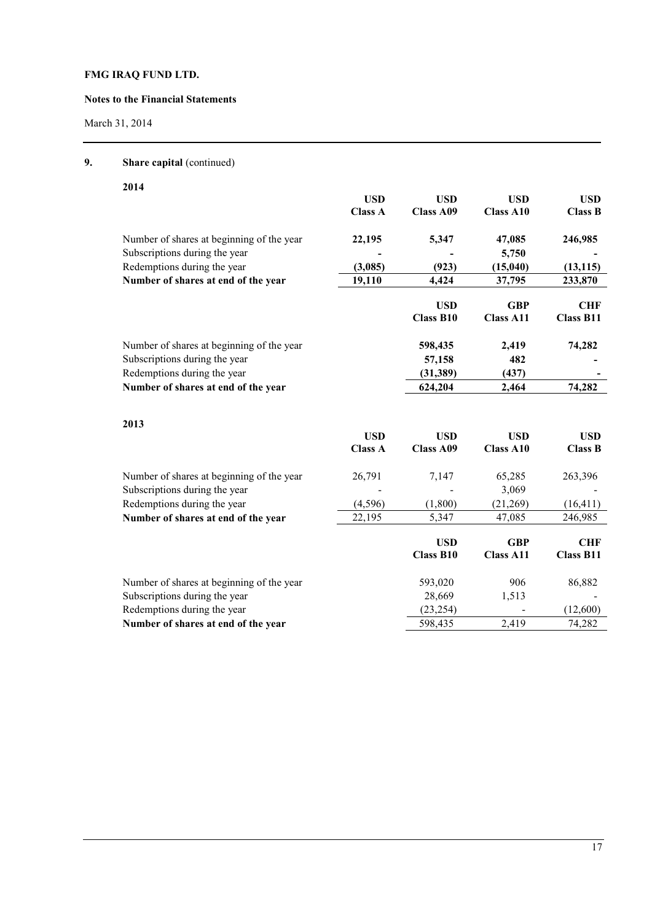# **Notes to the Financial Statements**

March 31, 2014

# **9.** Share capital (continued)

**2014** 

| 40 I 4                                    | <b>USD</b>     | <b>USD</b>              | <b>USD</b>              | <b>USD</b>              |
|-------------------------------------------|----------------|-------------------------|-------------------------|-------------------------|
|                                           | <b>Class A</b> | <b>Class A09</b>        | <b>Class A10</b>        | <b>Class B</b>          |
| Number of shares at beginning of the year | 22,195         | 5,347                   | 47,085                  | 246,985                 |
| Subscriptions during the year             |                |                         | 5,750                   |                         |
| Redemptions during the year               | (3,085)        | (923)                   | (15, 040)               | (13, 115)               |
| Number of shares at end of the year       | 19,110         | 4,424                   | 37,795                  | 233,870                 |
|                                           |                | <b>USD</b>              | <b>GBP</b>              | <b>CHF</b>              |
|                                           |                | <b>Class B10</b>        | <b>Class A11</b>        | <b>Class B11</b>        |
| Number of shares at beginning of the year |                | 598,435                 | 2,419                   | 74,282                  |
| Subscriptions during the year             |                | 57,158                  | 482                     |                         |
| Redemptions during the year               |                | (31, 389)               | (437)                   |                         |
| Number of shares at end of the year       |                | 624,204                 | 2,464                   | 74,282                  |
| 2013                                      |                |                         |                         |                         |
|                                           | <b>USD</b>     | <b>USD</b>              | <b>USD</b>              | <b>USD</b>              |
|                                           | <b>Class A</b> | <b>Class A09</b>        | <b>Class A10</b>        | <b>Class B</b>          |
| Number of shares at beginning of the year | 26,791         | 7,147                   | 65,285                  | 263,396                 |
| Subscriptions during the year             |                |                         | 3,069                   |                         |
| Redemptions during the year               | (4, 596)       | (1,800)                 | (21,269)                | (16, 411)               |
| Number of shares at end of the year       | 22,195         | 5,347                   | 47,085                  | 246,985                 |
|                                           |                | <b>USD</b><br>Class R10 | <b>GBP</b><br>Class A11 | <b>CHF</b><br>Class R11 |

|                                           | <b>Class B10</b> | <b>Class A11</b>         | <b>Class B11</b> |
|-------------------------------------------|------------------|--------------------------|------------------|
| Number of shares at beginning of the year | 593,020          | 906                      | 86,882           |
| Subscriptions during the year             | 28.669           | 1.513                    | -                |
| Redemptions during the year               | (23,254)         | $\overline{\phantom{a}}$ | (12,600)         |
| Number of shares at end of the year       | 598,435          | 2.419                    | 74,282           |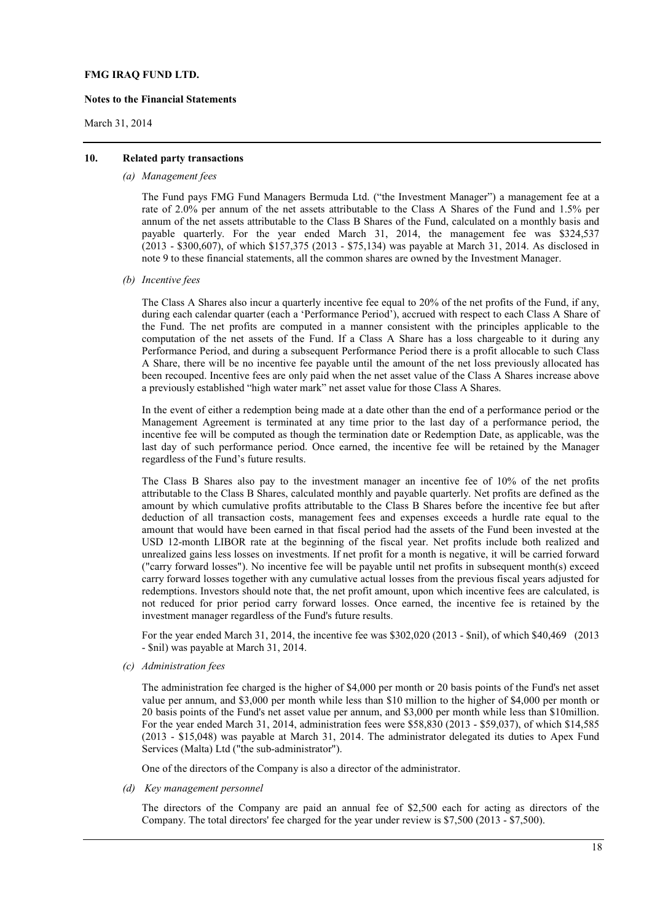#### **Notes to the Financial Statements**

#### March 31, 2014

# **10. Related party transactions**

#### *(a) Management fees*

The Fund pays FMG Fund Managers Bermuda Ltd. ("the Investment Manager") a management fee at a rate of 2.0% per annum of the net assets attributable to the Class A Shares of the Fund and 1.5% per annum of the net assets attributable to the Class B Shares of the Fund, calculated on a monthly basis and payable quarterly. For the year ended March 31, 2014, the management fee was \$324,537 (2013 - \$300,607), of which \$157,375 (2013 - \$75,134) was payable at March 31, 2014. As disclosed in note 9 to these financial statements, all the common shares are owned by the Investment Manager.

*(b) Incentive fees* 

The Class A Shares also incur a quarterly incentive fee equal to 20% of the net profits of the Fund, if any, during each calendar quarter (each a 'Performance Period'), accrued with respect to each Class A Share of the Fund. The net profits are computed in a manner consistent with the principles applicable to the computation of the net assets of the Fund. If a Class A Share has a loss chargeable to it during any Performance Period, and during a subsequent Performance Period there is a profit allocable to such Class A Share, there will be no incentive fee payable until the amount of the net loss previously allocated has been recouped. Incentive fees are only paid when the net asset value of the Class A Shares increase above a previously established "high water mark" net asset value for those Class A Shares.

In the event of either a redemption being made at a date other than the end of a performance period or the Management Agreement is terminated at any time prior to the last day of a performance period, the incentive fee will be computed as though the termination date or Redemption Date, as applicable, was the last day of such performance period. Once earned, the incentive fee will be retained by the Manager regardless of the Fund's future results.

The Class B Shares also pay to the investment manager an incentive fee of 10% of the net profits attributable to the Class B Shares, calculated monthly and payable quarterly. Net profits are defined as the amount by which cumulative profits attributable to the Class B Shares before the incentive fee but after deduction of all transaction costs, management fees and expenses exceeds a hurdle rate equal to the amount that would have been earned in that fiscal period had the assets of the Fund been invested at the USD 12-month LIBOR rate at the beginning of the fiscal year. Net profits include both realized and unrealized gains less losses on investments. If net profit for a month is negative, it will be carried forward ("carry forward losses"). No incentive fee will be payable until net profits in subsequent month(s) exceed carry forward losses together with any cumulative actual losses from the previous fiscal years adjusted for redemptions. Investors should note that, the net profit amount, upon which incentive fees are calculated, is not reduced for prior period carry forward losses. Once earned, the incentive fee is retained by the investment manager regardless of the Fund's future results.

For the year ended March 31, 2014, the incentive fee was \$302,020 (2013 - \$nil), of which \$40,469 (2013 - \$nil) was payable at March 31, 2014.

*(c) Administration fees* 

The administration fee charged is the higher of \$4,000 per month or 20 basis points of the Fund's net asset value per annum, and \$3,000 per month while less than \$10 million to the higher of \$4,000 per month or 20 basis points of the Fund's net asset value per annum, and \$3,000 per month while less than \$10million. For the year ended March 31, 2014, administration fees were \$58,830 (2013 - \$59,037), of which \$14,585 (2013 - \$15,048) was payable at March 31, 2014. The administrator delegated its duties to Apex Fund Services (Malta) Ltd ("the sub-administrator").

One of the directors of the Company is also a director of the administrator.

*(d) Key management personnel* 

The directors of the Company are paid an annual fee of \$2,500 each for acting as directors of the Company. The total directors' fee charged for the year under review is \$7,500 (2013 - \$7,500).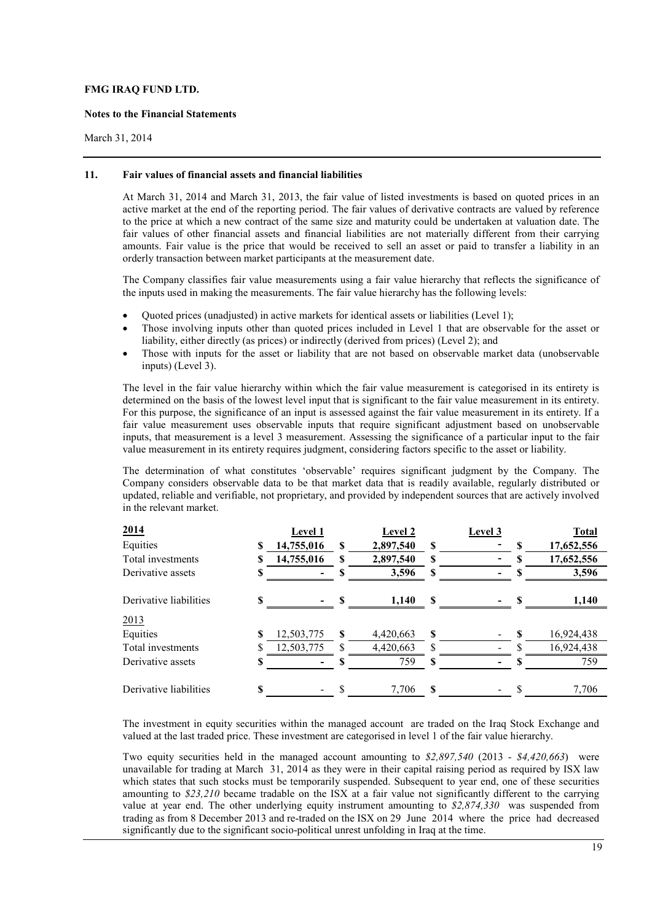# **Notes to the Financial Statements**

March 31, 2014

#### **11. Fair values of financial assets and financial liabilities**

At March 31, 2014 and March 31, 2013, the fair value of listed investments is based on quoted prices in an active market at the end of the reporting period. The fair values of derivative contracts are valued by reference to the price at which a new contract of the same size and maturity could be undertaken at valuation date. The fair values of other financial assets and financial liabilities are not materially different from their carrying amounts. Fair value is the price that would be received to sell an asset or paid to transfer a liability in an orderly transaction between market participants at the measurement date.

The Company classifies fair value measurements using a fair value hierarchy that reflects the significance of the inputs used in making the measurements. The fair value hierarchy has the following levels:

- Quoted prices (unadjusted) in active markets for identical assets or liabilities (Level 1);
- Those involving inputs other than quoted prices included in Level 1 that are observable for the asset or liability, either directly (as prices) or indirectly (derived from prices) (Level 2); and
- Those with inputs for the asset or liability that are not based on observable market data (unobservable inputs) (Level 3).

The level in the fair value hierarchy within which the fair value measurement is categorised in its entirety is determined on the basis of the lowest level input that is significant to the fair value measurement in its entirety. For this purpose, the significance of an input is assessed against the fair value measurement in its entirety. If a fair value measurement uses observable inputs that require significant adjustment based on unobservable inputs, that measurement is a level 3 measurement. Assessing the significance of a particular input to the fair value measurement in its entirety requires judgment, considering factors specific to the asset or liability.

The determination of what constitutes 'observable' requires significant judgment by the Company. The Company considers observable data to be that market data that is readily available, regularly distributed or updated, reliable and verifiable, not proprietary, and provided by independent sources that are actively involved in the relevant market.

| 2014                   | <b>Level 1</b> |          | <b>Level 2</b> |          | <b>Level 3</b> |    | <b>Total</b> |
|------------------------|----------------|----------|----------------|----------|----------------|----|--------------|
| Equities               | 14,755,016     | S        | 2,897,540      | \$       |                | \$ | 17,652,556   |
| Total investments      | 14,755,016     | S        | 2,897,540      | \$       |                |    | 17,652,556   |
| Derivative assets      |                |          | 3,596          | S        |                |    | 3,596        |
| Derivative liabilities |                | <b>S</b> | 1,140          | S        |                |    | 1,140        |
| 2013                   |                |          |                |          |                |    |              |
| Equities               | 12,503,775     | S        | 4,420,663      | \$       |                | S  | 16,924,438   |
| Total investments      | 12,503,775     | \$.      | 4,420,663      | \$.      |                |    | 16,924,438   |
| Derivative assets      |                |          | 759            | \$       |                |    | 759          |
| Derivative liabilities |                |          | 7,706          | <b>S</b> |                |    | 7,706        |

The investment in equity securities within the managed account are traded on the Iraq Stock Exchange and valued at the last traded price. These investment are categorised in level 1 of the fair value hierarchy.

Two equity securities held in the managed account amounting to *\$2,897,540* (2013 - *\$4,420,663*) were unavailable for trading at March 31, 2014 as they were in their capital raising period as required by ISX law which states that such stocks must be temporarily suspended. Subsequent to year end, one of these securities amounting to *\$23,210* became tradable on the ISX at a fair value not significantly different to the carrying value at year end. The other underlying equity instrument amounting to *\$2,874,330* was suspended from trading as from 8 December 2013 and re-traded on the ISX on 29 June 2014 where the price had decreased significantly due to the significant socio-political unrest unfolding in Iraq at the time.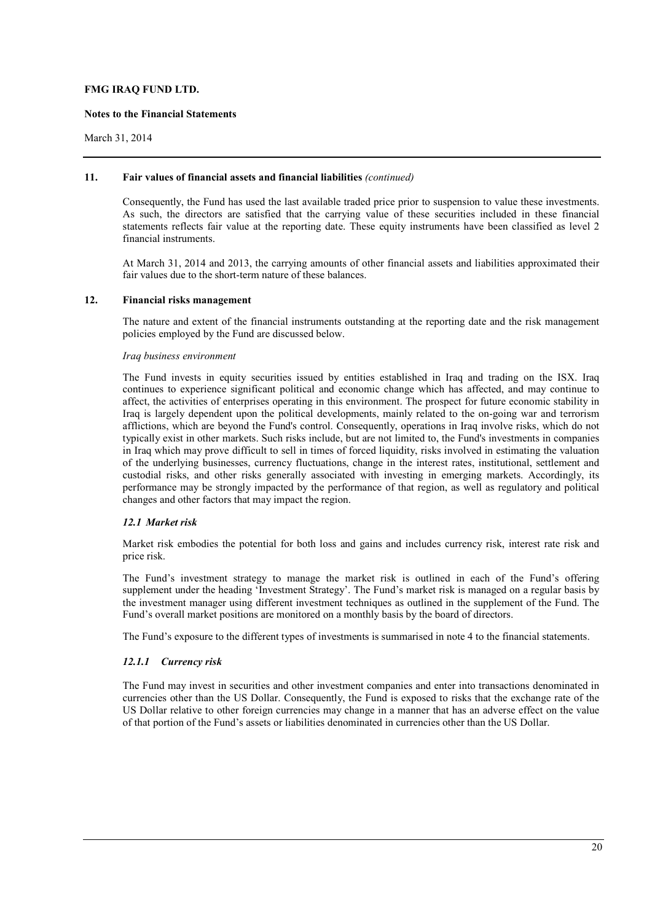# **Notes to the Financial Statements**

March 31, 2014

#### **11. Fair values of financial assets and financial liabilities** *(continued)*

Consequently, the Fund has used the last available traded price prior to suspension to value these investments. As such, the directors are satisfied that the carrying value of these securities included in these financial statements reflects fair value at the reporting date. These equity instruments have been classified as level 2 financial instruments.

At March 31, 2014 and 2013, the carrying amounts of other financial assets and liabilities approximated their fair values due to the short-term nature of these balances.

# **12. Financial risks management**

The nature and extent of the financial instruments outstanding at the reporting date and the risk management policies employed by the Fund are discussed below.

# *Iraq business environment*

The Fund invests in equity securities issued by entities established in Iraq and trading on the ISX. Iraq continues to experience significant political and economic change which has affected, and may continue to affect, the activities of enterprises operating in this environment. The prospect for future economic stability in Iraq is largely dependent upon the political developments, mainly related to the on-going war and terrorism afflictions, which are beyond the Fund's control. Consequently, operations in Iraq involve risks, which do not typically exist in other markets. Such risks include, but are not limited to, the Fund's investments in companies in Iraq which may prove difficult to sell in times of forced liquidity, risks involved in estimating the valuation of the underlying businesses, currency fluctuations, change in the interest rates, institutional, settlement and custodial risks, and other risks generally associated with investing in emerging markets. Accordingly, its performance may be strongly impacted by the performance of that region, as well as regulatory and political changes and other factors that may impact the region.

# *12.1 Market risk*

Market risk embodies the potential for both loss and gains and includes currency risk, interest rate risk and price risk.

The Fund's investment strategy to manage the market risk is outlined in each of the Fund's offering supplement under the heading 'Investment Strategy'. The Fund's market risk is managed on a regular basis by the investment manager using different investment techniques as outlined in the supplement of the Fund. The Fund's overall market positions are monitored on a monthly basis by the board of directors.

The Fund's exposure to the different types of investments is summarised in note 4 to the financial statements.

# *12.1.1 Currency risk*

The Fund may invest in securities and other investment companies and enter into transactions denominated in currencies other than the US Dollar. Consequently, the Fund is exposed to risks that the exchange rate of the US Dollar relative to other foreign currencies may change in a manner that has an adverse effect on the value of that portion of the Fund's assets or liabilities denominated in currencies other than the US Dollar.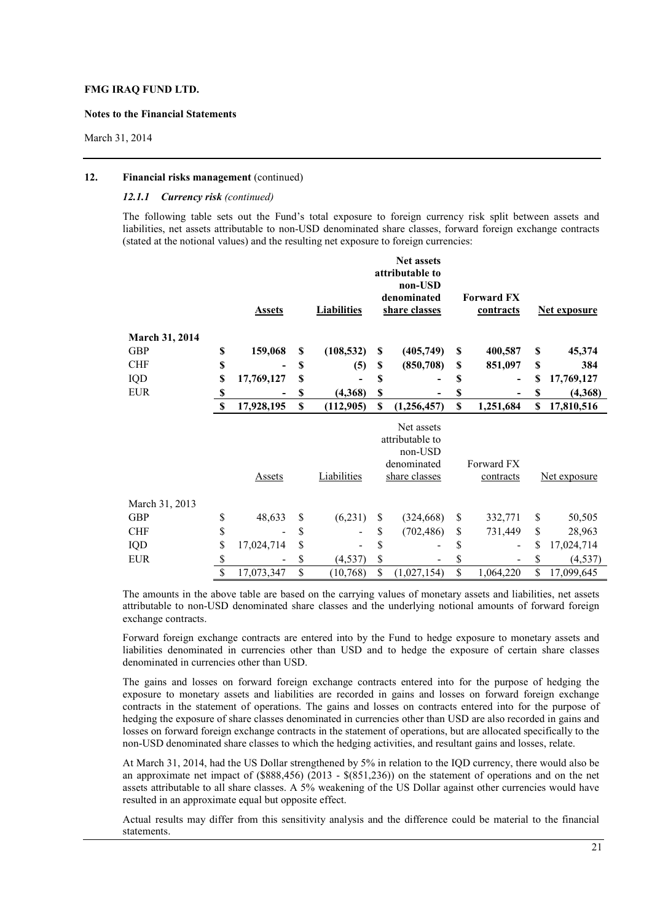# **Notes to the Financial Statements**

March 31, 2014

#### **12. Financial risks management** (continued)

# *12.1.1 Currency risk (continued)*

The following table sets out the Fund's total exposure to foreign currency risk split between assets and liabilities, net assets attributable to non-USD denominated share classes, forward foreign exchange contracts (stated at the notional values) and the resulting net exposure to foreign currencies:

|                       | <b>Assets</b>    |    | <b>Liabilities</b> | <b>Net assets</b><br>attributable to<br>non-USD<br>denominated<br>share classes | <b>Forward FX</b><br>contracts | <b>Net exposure</b> |
|-----------------------|------------------|----|--------------------|---------------------------------------------------------------------------------|--------------------------------|---------------------|
| <b>March 31, 2014</b> |                  |    |                    |                                                                                 |                                |                     |
| <b>GBP</b>            | \$<br>159,068    | S  | (108, 532)         | \$<br>(405,749)                                                                 | \$<br>400,587                  | \$<br>45,374        |
| <b>CHF</b>            | \$               | \$ | (5)                | \$<br>(850,708)                                                                 | \$<br>851,097                  | \$<br>384           |
| IQD                   | \$<br>17,769,127 | \$ | -                  | \$                                                                              | \$                             | \$<br>17,769,127    |
| <b>EUR</b>            | \$               | \$ | (4,368)            | \$                                                                              | \$                             | \$<br>(4,368)       |
|                       | \$<br>17,928,195 | \$ | (112,905)          | \$<br>(1,256,457)                                                               | \$<br>1,251,684                | \$<br>17,810,516    |
|                       | <b>Assets</b>    |    | Liabilities        | Net assets<br>attributable to<br>non-USD<br>denominated<br>share classes        | Forward FX<br>contracts        | <u>Net exposure</u> |
| March 31, 2013        |                  |    |                    |                                                                                 |                                |                     |
| <b>GBP</b>            | \$<br>48,633     | \$ | (6,231)            | \$<br>(324, 668)                                                                | \$<br>332,771                  | \$<br>50,505        |
| <b>CHF</b>            | \$               | \$ |                    | \$<br>(702, 486)                                                                | \$<br>731,449                  | \$<br>28,963        |
| IQD                   | \$<br>17,024,714 | \$ |                    | \$                                                                              | \$                             | \$<br>17,024,714    |
| <b>EUR</b>            | \$               | \$ | (4, 537)           | \$                                                                              | \$                             | \$<br>(4, 537)      |
|                       | \$<br>17,073,347 | \$ | (10,768)           | \$<br>(1,027,154)                                                               | \$<br>1,064,220                | \$<br>17,099,645    |

The amounts in the above table are based on the carrying values of monetary assets and liabilities, net assets attributable to non-USD denominated share classes and the underlying notional amounts of forward foreign exchange contracts.

Forward foreign exchange contracts are entered into by the Fund to hedge exposure to monetary assets and liabilities denominated in currencies other than USD and to hedge the exposure of certain share classes denominated in currencies other than USD.

The gains and losses on forward foreign exchange contracts entered into for the purpose of hedging the exposure to monetary assets and liabilities are recorded in gains and losses on forward foreign exchange contracts in the statement of operations. The gains and losses on contracts entered into for the purpose of hedging the exposure of share classes denominated in currencies other than USD are also recorded in gains and losses on forward foreign exchange contracts in the statement of operations, but are allocated specifically to the non-USD denominated share classes to which the hedging activities, and resultant gains and losses, relate.

At March 31, 2014, had the US Dollar strengthened by 5% in relation to the IQD currency, there would also be an approximate net impact of (\$888,456) (2013 - \$(851,236)) on the statement of operations and on the net assets attributable to all share classes. A 5% weakening of the US Dollar against other currencies would have resulted in an approximate equal but opposite effect.

Actual results may differ from this sensitivity analysis and the difference could be material to the financial statements.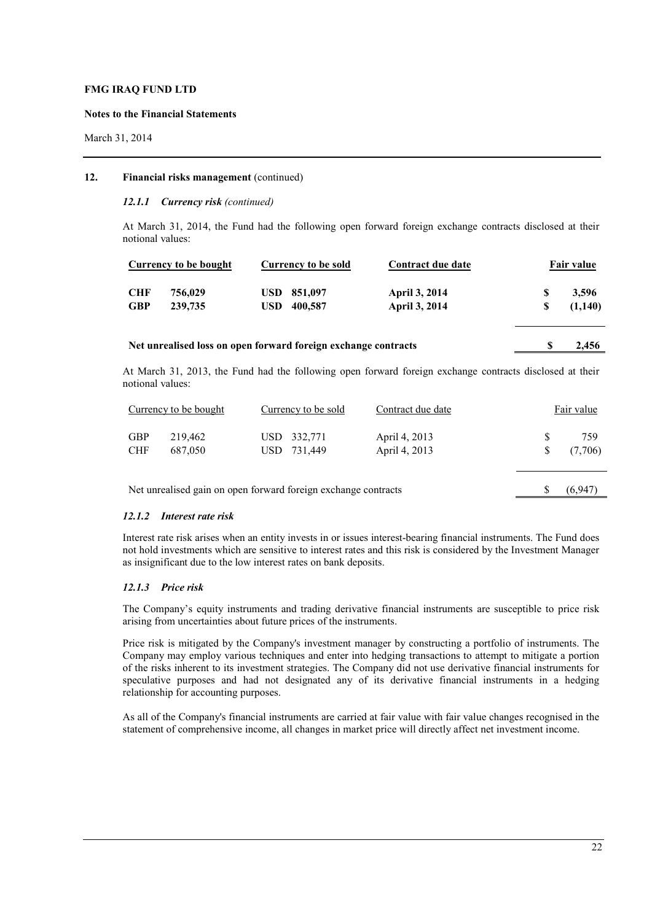# **Notes to the Financial Statements**

March 31, 2014

#### **12. Financial risks management** (continued)

# *12.1.1 Currency risk (continued)*

At March 31, 2014, the Fund had the following open forward foreign exchange contracts disclosed at their notional values:

|            | Currency to be bought | Currency to be sold | Contract due date    |      | <b>Fair value</b> |
|------------|-----------------------|---------------------|----------------------|------|-------------------|
| <b>CHF</b> | 756,029               | <b>USD</b> 851,097  | <b>April 3, 2014</b> | -SS- | 3.596             |
| <b>GBP</b> | 239.735               | <b>USD</b> 400,587  | <b>April 3, 2014</b> |      | (1,140)           |

# **Net unrealised loss on open forward foreign exchange contracts \$ 2,456**

At March 31, 2013, the Fund had the following open forward foreign exchange contracts disclosed at their notional values:

|                          | Currency to be bought | Currency to be sold        | Contract due date              |           | Fair value     |
|--------------------------|-----------------------|----------------------------|--------------------------------|-----------|----------------|
| <b>GBP</b><br><b>CHF</b> | 219.462<br>687.050    | USD 332,771<br>USD 731,449 | April 4, 2013<br>April 4, 2013 | -SS<br>S. | 759<br>(7,706) |

Net unrealised gain on open forward foreign exchange contracts \$ (6,947)

#### *12.1.2 Interest rate risk*

Interest rate risk arises when an entity invests in or issues interest-bearing financial instruments. The Fund does not hold investments which are sensitive to interest rates and this risk is considered by the Investment Manager as insignificant due to the low interest rates on bank deposits.

# *12.1.3 Price risk*

The Company's equity instruments and trading derivative financial instruments are susceptible to price risk arising from uncertainties about future prices of the instruments.

Price risk is mitigated by the Company's investment manager by constructing a portfolio of instruments. The Company may employ various techniques and enter into hedging transactions to attempt to mitigate a portion of the risks inherent to its investment strategies. The Company did not use derivative financial instruments for speculative purposes and had not designated any of its derivative financial instruments in a hedging relationship for accounting purposes.

As all of the Company's financial instruments are carried at fair value with fair value changes recognised in the statement of comprehensive income, all changes in market price will directly affect net investment income.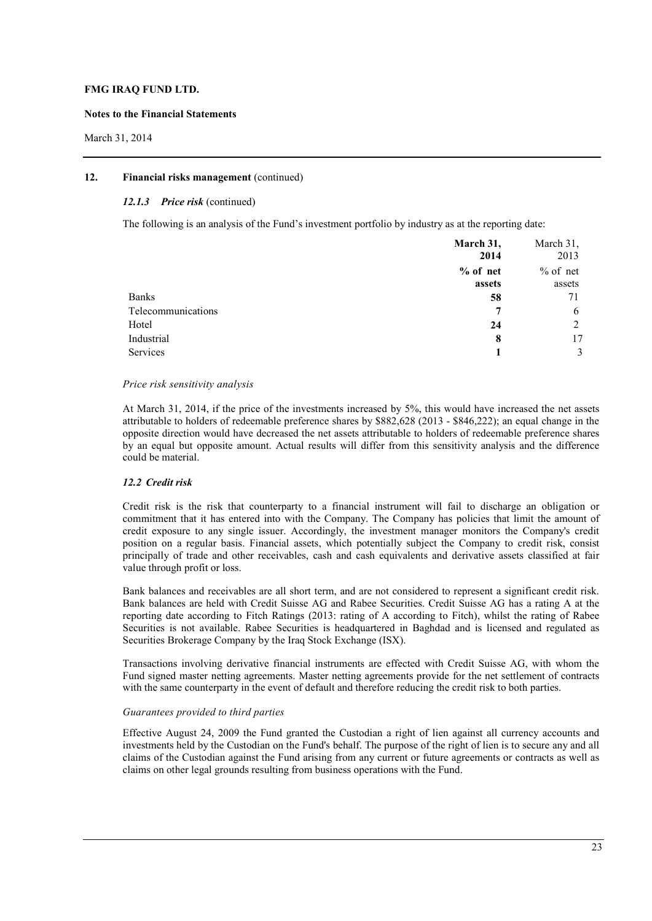# **Notes to the Financial Statements**

March 31, 2014

#### **12. Financial risks management** (continued)

#### *12.1.3 Price risk* (continued)

The following is an analysis of the Fund's investment portfolio by industry as at the reporting date:

|                    | March 31,<br>2014 | March 31,<br>2013 |
|--------------------|-------------------|-------------------|
|                    | $%$ of net        | $%$ of net        |
|                    | assets            | assets            |
| <b>Banks</b>       | 58                | 71                |
| Telecommunications | 7                 | 6                 |
| Hotel              | 24                | 2                 |
| Industrial         | 8                 | 17                |
| Services           |                   | 3                 |

#### *Price risk sensitivity analysis*

At March 31, 2014, if the price of the investments increased by 5%, this would have increased the net assets attributable to holders of redeemable preference shares by \$882,628 (2013 - \$846,222); an equal change in the opposite direction would have decreased the net assets attributable to holders of redeemable preference shares by an equal but opposite amount. Actual results will differ from this sensitivity analysis and the difference could be material.

#### *12.2 Credit risk*

Credit risk is the risk that counterparty to a financial instrument will fail to discharge an obligation or commitment that it has entered into with the Company. The Company has policies that limit the amount of credit exposure to any single issuer. Accordingly, the investment manager monitors the Company's credit position on a regular basis. Financial assets, which potentially subject the Company to credit risk, consist principally of trade and other receivables, cash and cash equivalents and derivative assets classified at fair value through profit or loss.

Bank balances and receivables are all short term, and are not considered to represent a significant credit risk. Bank balances are held with Credit Suisse AG and Rabee Securities. Credit Suisse AG has a rating A at the reporting date according to Fitch Ratings (2013: rating of A according to Fitch), whilst the rating of Rabee Securities is not available. Rabee Securities is headquartered in Baghdad and is licensed and regulated as Securities Brokerage Company by the Iraq Stock Exchange (ISX).

Transactions involving derivative financial instruments are effected with Credit Suisse AG, with whom the Fund signed master netting agreements. Master netting agreements provide for the net settlement of contracts with the same counterparty in the event of default and therefore reducing the credit risk to both parties.

#### *Guarantees provided to third parties*

Effective August 24, 2009 the Fund granted the Custodian a right of lien against all currency accounts and investments held by the Custodian on the Fund's behalf. The purpose of the right of lien is to secure any and all claims of the Custodian against the Fund arising from any current or future agreements or contracts as well as claims on other legal grounds resulting from business operations with the Fund.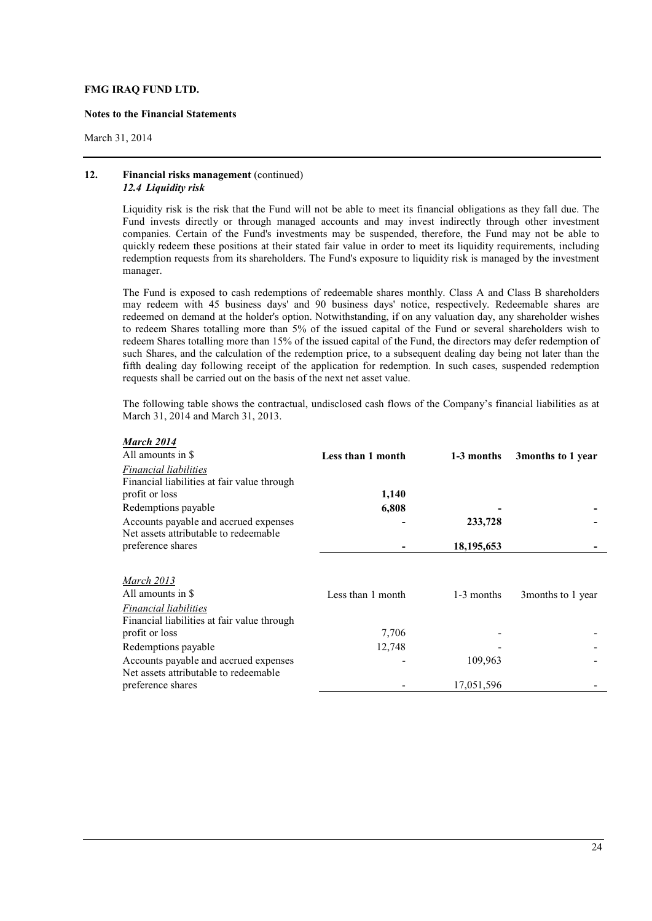# **Notes to the Financial Statements**

March 31, 2014

#### **12. Financial risks management** (continued) *12.4 Liquidity risk*

Liquidity risk is the risk that the Fund will not be able to meet its financial obligations as they fall due. The Fund invests directly or through managed accounts and may invest indirectly through other investment companies. Certain of the Fund's investments may be suspended, therefore, the Fund may not be able to quickly redeem these positions at their stated fair value in order to meet its liquidity requirements, including redemption requests from its shareholders. The Fund's exposure to liquidity risk is managed by the investment manager.

The Fund is exposed to cash redemptions of redeemable shares monthly. Class A and Class B shareholders may redeem with 45 business days' and 90 business days' notice, respectively. Redeemable shares are redeemed on demand at the holder's option. Notwithstanding, if on any valuation day, any shareholder wishes to redeem Shares totalling more than 5% of the issued capital of the Fund or several shareholders wish to redeem Shares totalling more than 15% of the issued capital of the Fund, the directors may defer redemption of such Shares, and the calculation of the redemption price, to a subsequent dealing day being not later than the fifth dealing day following receipt of the application for redemption. In such cases, suspended redemption requests shall be carried out on the basis of the next net asset value.

The following table shows the contractual, undisclosed cash flows of the Company's financial liabilities as at March 31, 2014 and March 31, 2013.

| <b>March 2014</b><br>All amounts in \$      |                   |              |                    |
|---------------------------------------------|-------------------|--------------|--------------------|
|                                             | Less than 1 month | 1-3 months   | 3 months to 1 year |
| <i>Financial liabilities</i>                |                   |              |                    |
| Financial liabilities at fair value through |                   |              |                    |
| profit or loss                              | 1,140             |              |                    |
| Redemptions payable                         | 6,808             |              |                    |
| Accounts payable and accrued expenses       |                   | 233,728      |                    |
| Net assets attributable to redeemable       |                   |              |                    |
| preference shares                           |                   | 18, 195, 653 |                    |
|                                             |                   |              |                    |
| <b>March 2013</b>                           |                   |              |                    |
| All amounts in \$                           | Less than 1 month | 1-3 months   | 3 months to 1 year |
| <b>Financial liabilities</b>                |                   |              |                    |
| Financial liabilities at fair value through |                   |              |                    |
| profit or loss                              | 7,706             |              |                    |
| Redemptions payable                         | 12,748            |              |                    |
| Accounts payable and accrued expenses       |                   | 109,963      |                    |
| Net assets attributable to redeemable       |                   |              |                    |
| preference shares                           |                   | 17,051,596   |                    |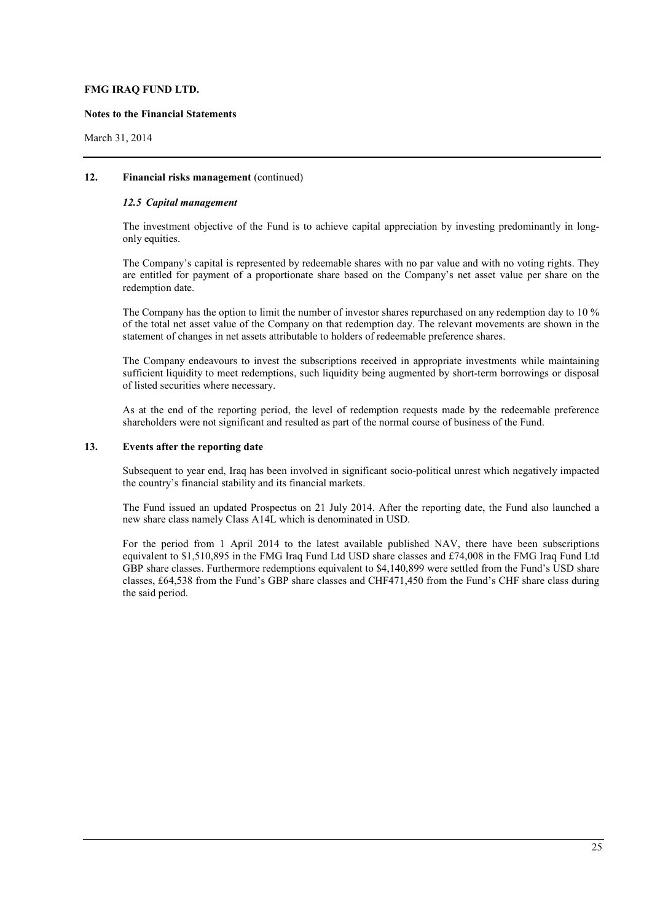# **Notes to the Financial Statements**

March 31, 2014

#### **12. Financial risks management** (continued)

# *12.5 Capital management*

The investment objective of the Fund is to achieve capital appreciation by investing predominantly in longonly equities.

The Company's capital is represented by redeemable shares with no par value and with no voting rights. They are entitled for payment of a proportionate share based on the Company's net asset value per share on the redemption date.

The Company has the option to limit the number of investor shares repurchased on any redemption day to 10 % of the total net asset value of the Company on that redemption day. The relevant movements are shown in the statement of changes in net assets attributable to holders of redeemable preference shares.

The Company endeavours to invest the subscriptions received in appropriate investments while maintaining sufficient liquidity to meet redemptions, such liquidity being augmented by short-term borrowings or disposal of listed securities where necessary.

As at the end of the reporting period, the level of redemption requests made by the redeemable preference shareholders were not significant and resulted as part of the normal course of business of the Fund.

# **13. Events after the reporting date**

Subsequent to year end, Iraq has been involved in significant socio-political unrest which negatively impacted the country's financial stability and its financial markets.

The Fund issued an updated Prospectus on 21 July 2014. After the reporting date, the Fund also launched a new share class namely Class A14L which is denominated in USD.

For the period from 1 April 2014 to the latest available published NAV, there have been subscriptions equivalent to \$1,510,895 in the FMG Iraq Fund Ltd USD share classes and £74,008 in the FMG Iraq Fund Ltd GBP share classes. Furthermore redemptions equivalent to \$4,140,899 were settled from the Fund's USD share classes, £64,538 from the Fund's GBP share classes and CHF471,450 from the Fund's CHF share class during the said period.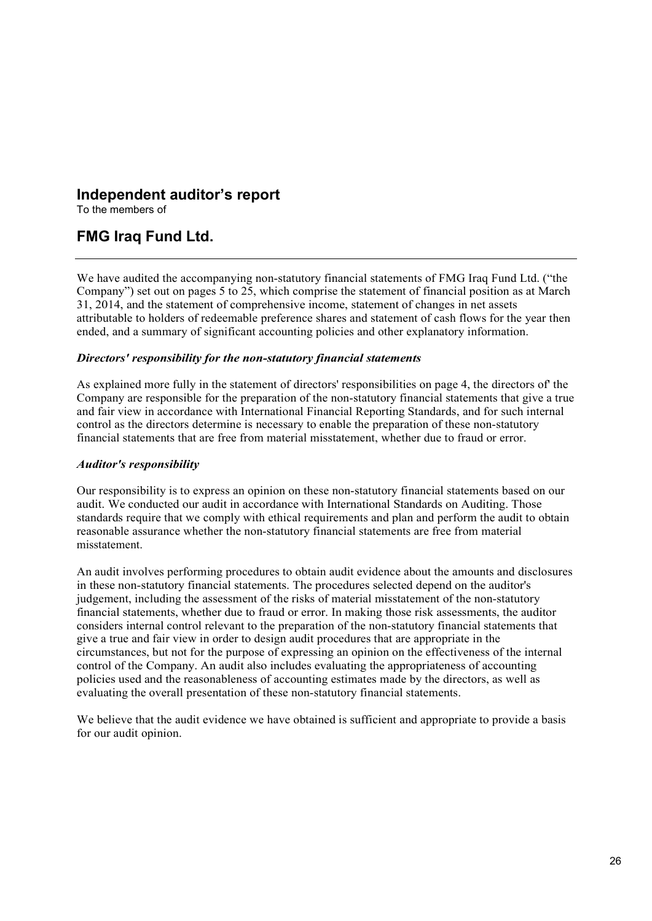# **Independent auditor's report**

To the members of

# **FMG Iraq Fund Ltd.**

We have audited the accompanying non-statutory financial statements of FMG Iraq Fund Ltd. ("the Company") set out on pages 5 to 25, which comprise the statement of financial position as at March 31, 2014, and the statement of comprehensive income, statement of changes in net assets attributable to holders of redeemable preference shares and statement of cash flows for the year then ended, and a summary of significant accounting policies and other explanatory information.

# *Directors' responsibility for the non-statutory financial statements*

As explained more fully in the statement of directors' responsibilities on page 4, the directors of' the Company are responsible for the preparation of the non-statutory financial statements that give a true and fair view in accordance with International Financial Reporting Standards, and for such internal control as the directors determine is necessary to enable the preparation of these non-statutory financial statements that are free from material misstatement, whether due to fraud or error.

# *Auditor's responsibility*

Our responsibility is to express an opinion on these non-statutory financial statements based on our audit. We conducted our audit in accordance with International Standards on Auditing. Those standards require that we comply with ethical requirements and plan and perform the audit to obtain reasonable assurance whether the non-statutory financial statements are free from material misstatement.

An audit involves performing procedures to obtain audit evidence about the amounts and disclosures in these non-statutory financial statements. The procedures selected depend on the auditor's judgement, including the assessment of the risks of material misstatement of the non-statutory financial statements, whether due to fraud or error. In making those risk assessments, the auditor considers internal control relevant to the preparation of the non-statutory financial statements that give a true and fair view in order to design audit procedures that are appropriate in the circumstances, but not for the purpose of expressing an opinion on the effectiveness of the internal control of the Company. An audit also includes evaluating the appropriateness of accounting policies used and the reasonableness of accounting estimates made by the directors, as well as evaluating the overall presentation of these non-statutory financial statements.

We believe that the audit evidence we have obtained is sufficient and appropriate to provide a basis for our audit opinion.